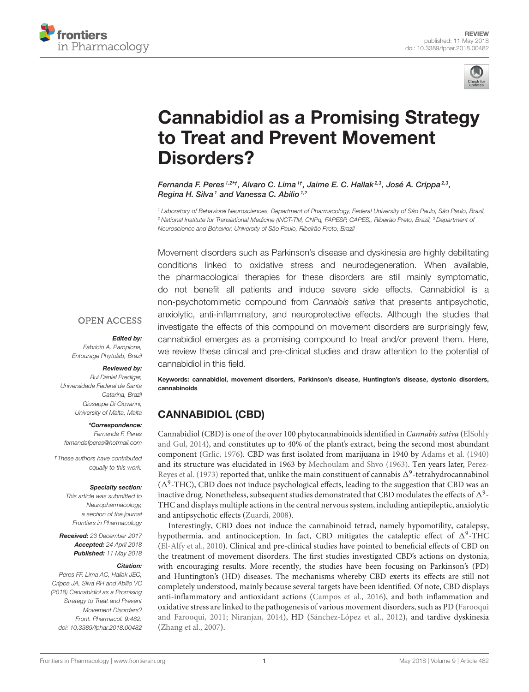



# [Cannabidiol as a Promising Strategy](https://www.frontiersin.org/articles/10.3389/fphar.2018.00482/full) to Treat and Prevent Movement Disorders?

[Fernanda F. Peres](http://loop.frontiersin.org/people/121221/overview) 1,2\*†, [Alvaro C. Lima](http://loop.frontiersin.org/people/489850/overview) 1†, [Jaime E. C. Hallak](http://loop.frontiersin.org/people/115869/overview)<sup>2,3</sup>, [José A. Crippa](http://loop.frontiersin.org/people/75853/overview) <sup>2,3</sup>, [Regina H. Silva](http://loop.frontiersin.org/people/5670/overview)<sup>1</sup> and [Vanessa C. Abílio](http://loop.frontiersin.org/people/113472/overview)<sup>1,2</sup>

<sup>1</sup> Laboratory of Behavioral Neurosciences, Department of Pharmacology, Federal University of São Paulo, São Paulo, Brazil, <sup>2</sup> National Institute for Translational Medicine (INCT-TM, CNPq, FAPESP, CAPES), Ribeirão Preto, Brazil, <sup>3</sup> Department of Neuroscience and Behavior, University of São Paulo, Ribeirão Preto, Brazil

Movement disorders such as Parkinson's disease and dyskinesia are highly debilitating conditions linked to oxidative stress and neurodegeneration. When available, the pharmacological therapies for these disorders are still mainly symptomatic, do not benefit all patients and induce severe side effects. Cannabidiol is a non-psychotomimetic compound from Cannabis sativa that presents antipsychotic, anxiolytic, anti-inflammatory, and neuroprotective effects. Although the studies that investigate the effects of this compound on movement disorders are surprisingly few, cannabidiol emerges as a promising compound to treat and/or prevent them. Here, we review these clinical and pre-clinical studies and draw attention to the potential of cannabidiol in this field.

#### **OPEN ACCESS**

#### Edited by:

Fabricio A. Pamplona, Entourage Phytolab, Brazil

#### Reviewed by:

Rui Daniel Prediger, Universidade Federal de Santa Catarina, Brazil Giuseppe Di Giovanni, University of Malta, Malta

#### \*Correspondence:

Fernanda F. Peres [fernandafperes@hotmail.com](mailto:fernandafperes@hotmail.com)

†These authors have contributed equally to this work.

#### Specialty section:

This article was submitted to Neuropharmacology, a section of the journal Frontiers in Pharmacology

Received: 23 December 2017 Accepted: 24 April 2018 **Published:** 11 May 2018

#### Citation:

Peres FF, Lima AC, Hallak JEC, Crippa JA, Silva RH and Abílio VC (2018) Cannabidiol as a Promising Strategy to Treat and Prevent Movement Disorders? Front. Pharmacol. 9:482. doi: [10.3389/fphar.2018.00482](https://doi.org/10.3389/fphar.2018.00482) Keywords: cannabidiol, movement disorders, Parkinson's disease, Huntington's disease, dystonic disorders, cannabinoids

# CANNABIDIOL (CBD)

Cannabidiol (CBD) is one of the over 100 phytocannabinoids identified in Cannabis sativa (ElSohly and Gul, [2014\)](#page-8-0), and constitutes up to 40% of the plant's extract, being the second most abundant component [\(Grlic, 1976\)](#page-9-0). CBD was first isolated from marijuana in 1940 by [Adams et al. \(1940\)](#page-8-1) and its structure was elucidated in 1963 by [Mechoulam and Shvo \(1963\)](#page-10-0). Ten years later, Perez-Reyes et al. [\(1973\)](#page-10-1) reported that, unlike the main constituent of cannabis  $\Delta^9$ -tetrahydrocannabinol  $(\Delta^9\text{-THC})$ , CBD does not induce psychological effects, leading to the suggestion that CBD was an inactive drug. Nonetheless, subsequent studies demonstrated that CBD modulates the effects of  $\Delta^9$ -THC and displays multiple actions in the central nervous system, including antiepileptic, anxiolytic and antipsychotic effects [\(Zuardi, 2008\)](#page-11-0).

Interestingly, CBD does not induce the cannabinoid tetrad, namely hypomotility, catalepsy, hypothermia, and antinociception. In fact, CBD mitigates the cataleptic effect of  $\Delta^9$ -THC [\(El-Alfy et al., 2010\)](#page-8-2). Clinical and pre-clinical studies have pointed to beneficial effects of CBD on the treatment of movement disorders. The first studies investigated CBD's actions on dystonia, with encouraging results. More recently, the studies have been focusing on Parkinson's (PD) and Huntington's (HD) diseases. The mechanisms whereby CBD exerts its effects are still not completely understood, mainly because several targets have been identified. Of note, CBD displays anti-inflammatory and antioxidant actions [\(Campos et al., 2016\)](#page-8-3), and both inflammation and oxidative stress are linked to the pathogenesis of various movement disorders, such as PD (Farooqui and Farooqui, [2011;](#page-9-1) [Niranjan, 2014\)](#page-10-2), HD [\(Sánchez-López et al., 2012\)](#page-11-1), and tardive dyskinesia [\(Zhang et al., 2007\)](#page-11-2).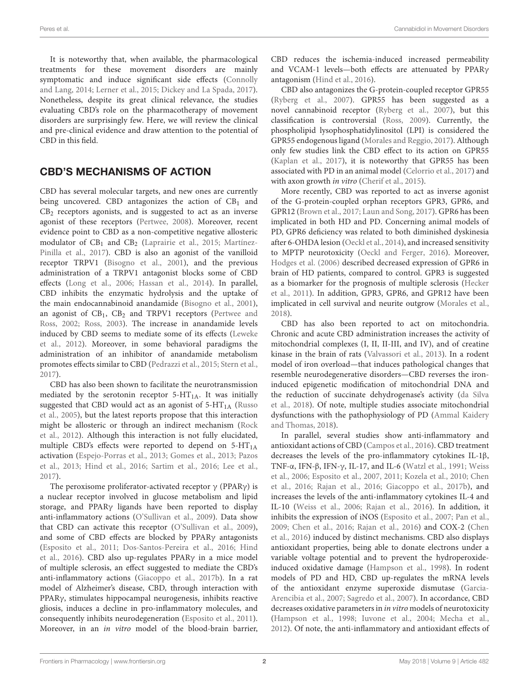It is noteworthy that, when available, the pharmacological treatments for these movement disorders are mainly symptomatic and induce significant side effects (Connolly and Lang, [2014;](#page-8-4) [Lerner et al., 2015;](#page-9-2) [Dickey and La Spada, 2017\)](#page-8-5). Nonetheless, despite its great clinical relevance, the studies evaluating CBD's role on the pharmacotherapy of movement disorders are surprisingly few. Here, we will review the clinical and pre-clinical evidence and draw attention to the potential of CBD in this field.

## CBD'S MECHANISMS OF ACTION

CBD has several molecular targets, and new ones are currently being uncovered. CBD antagonizes the action of  $CB<sub>1</sub>$  and  $CB<sub>2</sub>$  receptors agonists, and is suggested to act as an inverse agonist of these receptors [\(Pertwee, 2008\)](#page-10-3). Moreover, recent evidence point to CBD as a non-competitive negative allosteric modulator of  $CB<sub>1</sub>$  and  $CB<sub>2</sub>$  [\(Laprairie et al., 2015;](#page-9-3) Martínez-Pinilla et al., [2017\)](#page-10-4). CBD is also an agonist of the vanilloid receptor TRPV1 [\(Bisogno et al., 2001\)](#page-8-6), and the previous administration of a TRPV1 antagonist blocks some of CBD effects [\(Long et al., 2006;](#page-10-5) [Hassan et al., 2014\)](#page-9-4). In parallel, CBD inhibits the enzymatic hydrolysis and the uptake of the main endocannabinoid anandamide [\(Bisogno et al., 2001\)](#page-8-6), an agonist of  $CB_1$ ,  $CB_2$  and TRPV1 receptors (Pertwee and Ross, [2002;](#page-10-6) [Ross, 2003\)](#page-10-7). The increase in anandamide levels induced by CBD seems to mediate some of its effects (Leweke et al., [2012\)](#page-9-5). Moreover, in some behavioral paradigms the administration of an inhibitor of anandamide metabolism promotes effects similar to CBD [\(Pedrazzi et al., 2015;](#page-10-8) [Stern et al.,](#page-11-3) [2017\)](#page-11-3).

CBD has also been shown to facilitate the neurotransmission mediated by the serotonin receptor  $5-HT<sub>1A</sub>$ . It was initially suggested that CBD would act as an agonist of  $5-HT<sub>1A</sub>$  (Russo et al., [2005\)](#page-10-9), but the latest reports propose that this interaction might be allosteric or through an indirect mechanism (Rock et al., [2012\)](#page-10-10). Although this interaction is not fully elucidated, multiple CBD's effects were reported to depend on  $5-HT_{1A}$ activation [\(Espejo-Porras et al., 2013;](#page-9-6) [Gomes et al., 2013;](#page-9-7) Pazos et al., [2013;](#page-10-11) [Hind et al., 2016;](#page-9-8) [Sartim et al., 2016;](#page-11-4) [Lee et al.,](#page-9-9) [2017\)](#page-9-9).

The peroxisome proliferator-activated receptor  $\gamma$  (PPAR $\gamma$ ) is a nuclear receptor involved in glucose metabolism and lipid storage, and PPARγ ligands have been reported to display anti-inflammatory actions [\(O'Sullivan et al., 2009\)](#page-10-12). Data show that CBD can activate this receptor [\(O'Sullivan et al., 2009\)](#page-10-12), and some of CBD effects are blocked by PPARγ antagonists [\(Esposito et al., 2011;](#page-9-10) [Dos-Santos-Pereira et al., 2016;](#page-8-7) Hind et al., [2016\)](#page-9-8). CBD also up-regulates PPARγ in a mice model of multiple sclerosis, an effect suggested to mediate the CBD's anti-inflammatory actions [\(Giacoppo et al., 2017b\)](#page-9-11). In a rat model of Alzheimer's disease, CBD, through interaction with PPARγ, stimulates hippocampal neurogenesis, inhibits reactive gliosis, induces a decline in pro-inflammatory molecules, and consequently inhibits neurodegeneration [\(Esposito et al., 2011\)](#page-9-10). Moreover, in an in vitro model of the blood-brain barrier, CBD reduces the ischemia-induced increased permeability and VCAM-1 levels—both effects are attenuated by PPARγ antagonism [\(Hind et al., 2016\)](#page-9-8).

CBD also antagonizes the G-protein-coupled receptor GPR55 [\(Ryberg et al., 2007\)](#page-11-5). GPR55 has been suggested as a novel cannabinoid receptor [\(Ryberg et al., 2007\)](#page-11-5), but this classification is controversial [\(Ross, 2009\)](#page-10-13). Currently, the phospholipid lysophosphatidylinositol (LPI) is considered the GPR55 endogenous ligand [\(Morales and Reggio, 2017\)](#page-10-14). Although only few studies link the CBD effect to its action on GPR55 [\(Kaplan et al., 2017\)](#page-9-12), it is noteworthy that GPR55 has been associated with PD in an animal model [\(Celorrio et al., 2017\)](#page-8-8) and with axon growth *in vitro* [\(Cherif et al., 2015\)](#page-8-9).

More recently, CBD was reported to act as inverse agonist of the G-protein-coupled orphan receptors GPR3, GPR6, and GPR12 [\(Brown et al., 2017;](#page-8-10) [Laun and Song, 2017\)](#page-9-13). GPR6 has been implicated in both HD and PD. Concerning animal models of PD, GPR6 deficiency was related to both diminished dyskinesia after 6-OHDA lesion [\(Oeckl et al., 2014\)](#page-10-15), and increased sensitivity to MPTP neurotoxicity [\(Oeckl and Ferger, 2016\)](#page-10-16). Moreover, [Hodges et al. \(2006\)](#page-9-14) described decreased expression of GPR6 in brain of HD patients, compared to control. GPR3 is suggested as a biomarker for the prognosis of multiple sclerosis (Hecker et al., [2011\)](#page-9-15). In addition, GPR3, GPR6, and GPR12 have been implicated in cell survival and neurite outgrow [\(Morales et al.,](#page-10-17) [2018\)](#page-10-17).

CBD has also been reported to act on mitochondria. Chronic and acute CBD administration increases the activity of mitochondrial complexes (I, II, II-III, and IV), and of creatine kinase in the brain of rats [\(Valvassori et al., 2013\)](#page-11-6). In a rodent model of iron overload—that induces pathological changes that resemble neurodegenerative disorders—CBD reverses the ironinduced epigenetic modification of mitochondrial DNA and the reduction of succinate dehydrogenase's activity (da Silva et al., [2018\)](#page-8-11). Of note, multiple studies associate mitochondrial dysfunctions with the pathophysiology of PD (Ammal Kaidery and Thomas, [2018\)](#page-8-12).

In parallel, several studies show anti-inflammatory and antioxidant actions of CBD [\(Campos et al., 2016\)](#page-8-3). CBD treatment decreases the levels of the pro-inflammatory cytokines IL-1β, TNF-α, IFN-β, IFN-γ, IL-17, and IL-6 [\(Watzl et al., 1991;](#page-11-7) Weiss et al., [2006;](#page-11-8) [Esposito et al., 2007,](#page-9-16) [2011;](#page-9-10) [Kozela et al., 2010;](#page-9-17) Chen et al., [2016;](#page-8-13) [Rajan et al., 2016;](#page-10-18) [Giacoppo et al., 2017b\)](#page-9-11), and increases the levels of the anti-inflammatory cytokines IL-4 and IL-10 [\(Weiss et al., 2006;](#page-11-8) [Rajan et al., 2016\)](#page-10-18). In addition, it inhibits the expression of iNOS [\(Esposito et al., 2007;](#page-9-16) [Pan et al.,](#page-10-19) [2009;](#page-10-19) [Chen et al., 2016;](#page-8-13) [Rajan et al., 2016\)](#page-10-18) and COX-2 (Chen et al., [2016\)](#page-8-13) induced by distinct mechanisms. CBD also displays antioxidant properties, being able to donate electrons under a variable voltage potential and to prevent the hydroperoxideinduced oxidative damage [\(Hampson et al., 1998\)](#page-9-18). In rodent models of PD and HD, CBD up-regulates the mRNA levels of the antioxidant enzyme superoxide dismutase (Garcia-Arencibia et al., [2007;](#page-9-19) [Sagredo et al., 2007\)](#page-11-9). In accordance, CBD decreases oxidative parameters in in vitro models of neurotoxicity [\(Hampson et al., 1998;](#page-9-18) [Iuvone et al., 2004;](#page-9-20) [Mecha et al.,](#page-10-20) [2012\)](#page-10-20). Of note, the anti-inflammatory and antioxidant effects of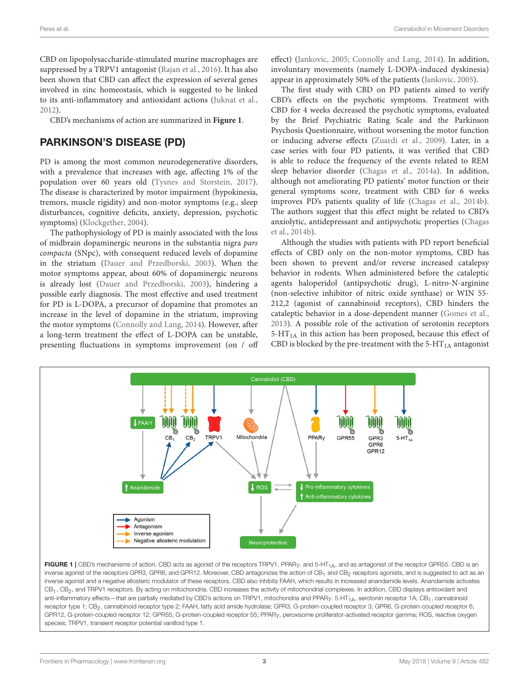CBD on lipopolysaccharide-stimulated murine macrophages are suppressed by a TRPV1 antagonist [\(Rajan et al., 2016\)](#page-10-18). It has also been shown that CBD can affect the expression of several genes involved in zinc homeostasis, which is suggested to be linked to its anti-inflammatory and antioxidant actions [\(Juknat et al.,](#page-9-21) [2012\)](#page-9-21).

CBD's mechanisms of action are summarized in **[Figure 1](#page-2-0)**.

### PARKINSON'S DISEASE (PD)

PD is among the most common neurodegenerative disorders, with a prevalence that increases with age, affecting 1% of the population over 60 years old [\(Tysnes and Storstein, 2017\)](#page-11-10). The disease is characterized by motor impairment (hypokinesia, tremors, muscle rigidity) and non-motor symptoms (e.g., sleep disturbances, cognitive deficits, anxiety, depression, psychotic symptoms) [\(Klockgether, 2004\)](#page-9-22).

The pathophysiology of PD is mainly associated with the loss of midbrain dopaminergic neurons in the substantia nigra pars compacta (SNpc), with consequent reduced levels of dopamine in the striatum [\(Dauer and Przedborski, 2003\)](#page-8-14). When the motor symptoms appear, about 60% of dopaminergic neurons is already lost [\(Dauer and Przedborski, 2003\)](#page-8-14), hindering a possible early diagnosis. The most effective and used treatment for PD is L-DOPA, a precursor of dopamine that promotes an increase in the level of dopamine in the striatum, improving the motor symptoms [\(Connolly and Lang, 2014\)](#page-8-4). However, after a long-term treatment the effect of L-DOPA can be unstable, presenting fluctuations in symptoms improvement (on / off effect) [\(Jankovic, 2005;](#page-9-23) [Connolly and Lang, 2014\)](#page-8-4). In addition, involuntary movements (namely L-DOPA-induced dyskinesia) appear in approximately 50% of the patients [\(Jankovic, 2005\)](#page-9-23).

The first study with CBD on PD patients aimed to verify CBD's effects on the psychotic symptoms. Treatment with CBD for 4 weeks decreased the psychotic symptoms, evaluated by the Brief Psychiatric Rating Scale and the Parkinson Psychosis Questionnaire, without worsening the motor function or inducing adverse effects [\(Zuardi et al., 2009\)](#page-11-11). Later, in a case series with four PD patients, it was verified that CBD is able to reduce the frequency of the events related to REM sleep behavior disorder [\(Chagas et al., 2014a\)](#page-8-15). In addition, although not ameliorating PD patients' motor function or their general symptoms score, treatment with CBD for 6 weeks improves PD's patients quality of life [\(Chagas et al., 2014b\)](#page-8-16). The authors suggest that this effect might be related to CBD's anxiolytic, antidepressant and antipsychotic properties (Chagas et al., [2014b\)](#page-8-16).

Although the studies with patients with PD report beneficial effects of CBD only on the non-motor symptoms, CBD has been shown to prevent and/or reverse increased catalepsy behavior in rodents. When administered before the cataleptic agents haloperidol (antipsychotic drug), L-nitro-N-arginine (non-selective inhibitor of nitric oxide synthase) or WIN 55- 212,2 (agonist of cannabinoid receptors), CBD hinders the cataleptic behavior in a dose-dependent manner [\(Gomes et al.,](#page-9-7) [2013\)](#page-9-7). A possible role of the activation of serotonin receptors  $5-HT<sub>1A</sub>$  in this action has been proposed, because this effect of CBD is blocked by the pre-treatment with the  $5-HT<sub>1A</sub>$  antagonist



<span id="page-2-0"></span>FIGURE 1 | CBD's mechanisms of action. CBD acts as agonist of the receptors TRPV1, PPARy, and 5-HT<sub>1A</sub>, and as antagonist of the receptor GPR55. CBD is an inverse agonist of the receptors GPR3, GPR6, and GPR12. Moreover, CBD antagonizes the action of CB<sub>1</sub> and CB<sub>2</sub> receptors agonists, and is suggested to act as an inverse agonist and a negative allosteric modulator of these receptors. CBD also inhibits FAAH, which results in increased anandamide levels. Anandamide activates CB<sub>1</sub>, CB<sub>2</sub>, and TRPV1 receptors. By acting on mitochondria, CBD increases the activity of mitochondrial complexes. In addition, CBD displays antioxidant and anti-inflammatory effects—that are partially mediated by CBD's actions on TRPV1, mitochondria and PPAR<sub>Y</sub>. 5-HT<sub>1A</sub>, serotonin receptor 1A; CB<sub>1</sub>, cannabinoid receptor type 1; CB<sub>2</sub>, cannabinoid receptor type 2; FAAH, fatty acid amide hydrolase; GPR3, G-protein-coupled receptor 3; GPR6, G-protein-coupled receptor 6; GPR12, G-protein-coupled receptor 12; GPR55, G-protein-coupled receptor 55; PPARγ, peroxisome proliferator-activated receptor gamma; ROS, reactive oxygen species; TRPV1, transient receptor potential vanilloid type 1.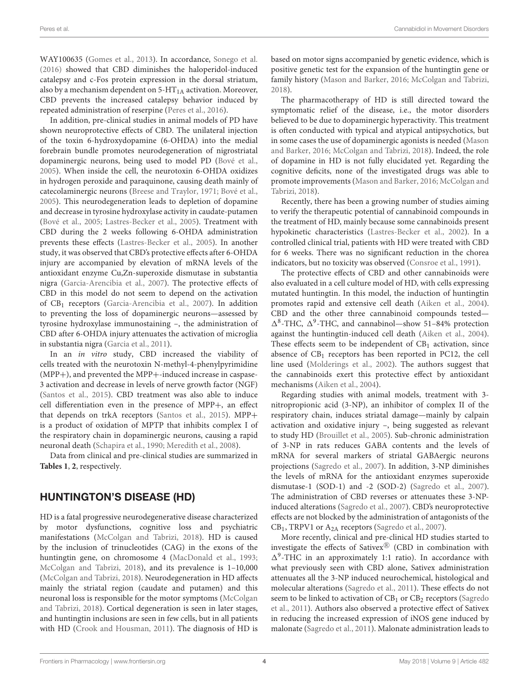WAY100635 [\(Gomes et al., 2013\)](#page-9-7). In accordance, [Sonego et al.](#page-11-12) [\(2016\)](#page-11-12) showed that CBD diminishes the haloperidol-induced catalepsy and c-Fos protein expression in the dorsal striatum, also by a mechanism dependent on  $5-HT_{1A}$  activation. Moreover, CBD prevents the increased catalepsy behavior induced by repeated administration of reserpine [\(Peres et al., 2016\)](#page-10-21).

In addition, pre-clinical studies in animal models of PD have shown neuroprotective effects of CBD. The unilateral injection of the toxin 6-hydroxydopamine (6-OHDA) into the medial forebrain bundle promotes neurodegeneration of nigrostriatal dopaminergic neurons, being used to model PD [\(Bové et al.,](#page-8-17) [2005\)](#page-8-17). When inside the cell, the neurotoxin 6-OHDA oxidizes in hydrogen peroxide and paraquinone, causing death mainly of catecolaminergic neurons [\(Breese and Traylor, 1971;](#page-8-18) [Bové et al.,](#page-8-17) [2005\)](#page-8-17). This neurodegeneration leads to depletion of dopamine and decrease in tyrosine hydroxylase activity in caudate-putamen [\(Bové et al., 2005;](#page-8-17) [Lastres-Becker et al., 2005\)](#page-9-24). Treatment with CBD during the 2 weeks following 6-OHDA administration prevents these effects [\(Lastres-Becker et al., 2005\)](#page-9-24). In another study, it was observed that CBD's protective effects after 6-OHDA injury are accompanied by elevation of mRNA levels of the antioxidant enzyme Cu,Zn-superoxide dismutase in substantia nigra [\(Garcia-Arencibia et al., 2007\)](#page-9-19). The protective effects of CBD in this model do not seem to depend on the activation of CB<sub>1</sub> receptors [\(Garcia-Arencibia et al., 2007\)](#page-9-19). In addition to preventing the loss of dopaminergic neurons—assessed by tyrosine hydroxylase immunostaining –, the administration of CBD after 6-OHDA injury attenuates the activation of microglia in substantia nigra [\(Garcia et al., 2011\)](#page-9-25).

In an in vitro study, CBD increased the viability of cells treated with the neurotoxin N-methyl-4-phenylpyrimidine (MPP+), and prevented the MPP+-induced increase in caspase-3 activation and decrease in levels of nerve growth factor (NGF) [\(Santos et al., 2015\)](#page-11-13). CBD treatment was also able to induce cell differentiation even in the presence of MPP+, an effect that depends on trkA receptors [\(Santos et al., 2015\)](#page-11-13). MPP+ is a product of oxidation of MPTP that inhibits complex I of the respiratory chain in dopaminergic neurons, causing a rapid neuronal death [\(Schapira et al., 1990;](#page-11-14) [Meredith et al., 2008\)](#page-10-22).

Data from clinical and pre-clinical studies are summarized in **[Tables 1](#page-4-0)**, **[2](#page-5-0)**, respectively.

#### HUNTINGTON'S DISEASE (HD)

HD is a fatal progressive neurodegenerative disease characterized by motor dysfunctions, cognitive loss and psychiatric manifestations [\(McColgan and Tabrizi, 2018\)](#page-10-23). HD is caused by the inclusion of trinucleotides (CAG) in the exons of the huntingtin gene, on chromosome 4 [\(MacDonald et al., 1993;](#page-10-24) [McColgan and Tabrizi, 2018\)](#page-10-23), and its prevalence is 1–10,000 [\(McColgan and Tabrizi, 2018\)](#page-10-23). Neurodegeneration in HD affects mainly the striatal region (caudate and putamen) and this neuronal loss is responsible for the motor symptoms (McColgan and Tabrizi, [2018\)](#page-10-23). Cortical degeneration is seen in later stages, and huntingtin inclusions are seen in few cells, but in all patients with HD [\(Crook and Housman, 2011\)](#page-8-19). The diagnosis of HD is based on motor signs accompanied by genetic evidence, which is positive genetic test for the expansion of the huntingtin gene or family history [\(Mason and Barker, 2016;](#page-10-25) [McColgan and Tabrizi,](#page-10-23) [2018\)](#page-10-23).

The pharmacotherapy of HD is still directed toward the symptomatic relief of the disease, i.e., the motor disorders believed to be due to dopaminergic hyperactivity. This treatment is often conducted with typical and atypical antipsychotics, but in some cases the use of dopaminergic agonists is needed (Mason and Barker, [2016;](#page-10-25) [McColgan and Tabrizi, 2018\)](#page-10-23). Indeed, the role of dopamine in HD is not fully elucidated yet. Regarding the cognitive deficits, none of the investigated drugs was able to promote improvements [\(Mason and Barker, 2016;](#page-10-25) McColgan and Tabrizi, [2018\)](#page-10-23).

Recently, there has been a growing number of studies aiming to verify the therapeutic potential of cannabinoid compounds in the treatment of HD, mainly because some cannabinoids present hypokinetic characteristics [\(Lastres-Becker et al., 2002\)](#page-9-26). In a controlled clinical trial, patients with HD were treated with CBD for 6 weeks. There was no significant reduction in the chorea indicators, but no toxicity was observed [\(Consroe et al., 1991\)](#page-8-20).

The protective effects of CBD and other cannabinoids were also evaluated in a cell culture model of HD, with cells expressing mutated huntingtin. In this model, the induction of huntingtin promotes rapid and extensive cell death [\(Aiken et al., 2004\)](#page-8-21). CBD and the other three cannabinoid compounds tested—  $\Delta^8$ -THC,  $\Delta^9$ -THC, and cannabinol—show 51-84% protection against the huntingtin-induced cell death [\(Aiken et al., 2004\)](#page-8-21). These effects seem to be independent of  $CB<sub>1</sub>$  activation, since absence of  $CB<sub>1</sub>$  receptors has been reported in PC12, the cell line used [\(Molderings et al., 2002\)](#page-10-26). The authors suggest that the cannabinoids exert this protective effect by antioxidant mechanisms [\(Aiken et al., 2004\)](#page-8-21).

Regarding studies with animal models, treatment with 3 nitropropionic acid (3-NP), an inhibitor of complex II of the respiratory chain, induces striatal damage—mainly by calpain activation and oxidative injury –, being suggested as relevant to study HD [\(Brouillet et al., 2005\)](#page-8-22). Sub-chronic administration of 3-NP in rats reduces GABA contents and the levels of mRNA for several markers of striatal GABAergic neurons projections [\(Sagredo et al., 2007\)](#page-11-9). In addition, 3-NP diminishes the levels of mRNA for the antioxidant enzymes superoxide dismutase-1 (SOD-1) and -2 (SOD-2) [\(Sagredo et al., 2007\)](#page-11-9). The administration of CBD reverses or attenuates these 3-NPinduced alterations [\(Sagredo et al., 2007\)](#page-11-9). CBD's neuroprotective effects are not blocked by the administration of antagonists of the CB1, TRPV1 or A2A receptors [\(Sagredo et al., 2007\)](#page-11-9).

More recently, clinical and pre-clinical HD studies started to investigate the effects of Sativex<sup>®</sup> (CBD in combination with  $\Delta^9$ -THC in an approximately 1:1 ratio). In accordance with what previously seen with CBD alone, Sativex administration attenuates all the 3-NP induced neurochemical, histological and molecular alterations [\(Sagredo et al., 2011\)](#page-11-15). These effects do not seem to be linked to activation of  $CB<sub>1</sub>$  or  $CB<sub>2</sub>$  receptors (Sagredo et al., [2011\)](#page-11-15). Authors also observed a protective effect of Sativex in reducing the increased expression of iNOS gene induced by malonate [\(Sagredo et al., 2011\)](#page-11-15). Malonate administration leads to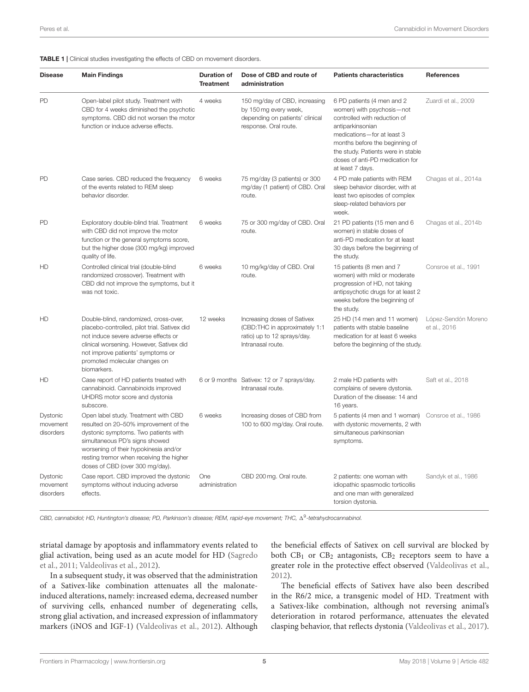<span id="page-4-0"></span>TABLE 1 | Clinical studies investigating the effects of CBD on movement disorders.

| <b>Disease</b>                    | <b>Main Findings</b>                                                                                                                                                                                                                                                            | <b>Duration of</b><br><b>Treatment</b> | Dose of CBD and route of<br>administration                                                                         | <b>Patients characteristics</b>                                                                                                                                                                                                                                          | <b>References</b>                   |
|-----------------------------------|---------------------------------------------------------------------------------------------------------------------------------------------------------------------------------------------------------------------------------------------------------------------------------|----------------------------------------|--------------------------------------------------------------------------------------------------------------------|--------------------------------------------------------------------------------------------------------------------------------------------------------------------------------------------------------------------------------------------------------------------------|-------------------------------------|
| PD                                | Open-label pilot study. Treatment with<br>CBD for 4 weeks diminished the psychotic<br>symptoms. CBD did not worsen the motor<br>function or induce adverse effects.                                                                                                             | 4 weeks                                | 150 mg/day of CBD, increasing<br>by 150 mg every week,<br>depending on patients' clinical<br>response. Oral route. | 6 PD patients (4 men and 2<br>women) with psychosis-not<br>controlled with reduction of<br>antiparkinsonian<br>medications-for at least 3<br>months before the beginning of<br>the study. Patients were in stable<br>doses of anti-PD medication for<br>at least 7 days. | Zuardi et al., 2009                 |
| PD                                | Case series. CBD reduced the frequency<br>of the events related to REM sleep<br>behavior disorder.                                                                                                                                                                              | 6 weeks                                | 75 mg/day (3 patients) or 300<br>mg/day (1 patient) of CBD. Oral<br>route.                                         | 4 PD male patients with REM<br>sleep behavior disorder, with at<br>least two episodes of complex<br>sleep-related behaviors per<br>week.                                                                                                                                 | Chagas et al., 2014a                |
| PD                                | Exploratory double-blind trial. Treatment<br>with CBD did not improve the motor<br>function or the general symptoms score,<br>but the higher dose (300 mg/kg) improved<br>quality of life.                                                                                      | 6 weeks                                | 75 or 300 mg/day of CBD. Oral<br>route.                                                                            | 21 PD patients (15 men and 6<br>women) in stable doses of<br>anti-PD medication for at least<br>30 days before the beginning of<br>the study.                                                                                                                            | Chagas et al., 2014b                |
| HD                                | Controlled clinical trial (double-blind<br>randomized crossover). Treatment with<br>CBD did not improve the symptoms, but it<br>was not toxic.                                                                                                                                  | 6 weeks                                | 10 mg/kg/day of CBD. Oral<br>route.                                                                                | 15 patients (8 men and 7<br>women) with mild or moderate<br>progression of HD, not taking<br>antipsychotic drugs for at least 2<br>weeks before the beginning of<br>the study.                                                                                           | Consroe et al., 1991                |
| HD                                | Double-blind, randomized, cross-over,<br>placebo-controlled, pilot trial. Sativex did<br>not induce severe adverse effects or<br>clinical worsening. However, Sativex did<br>not improve patients' symptoms or<br>promoted molecular changes on<br>biomarkers.                  | 12 weeks                               | Increasing doses of Sativex<br>(CBD:THC in approximately 1:1<br>ratio) up to 12 sprays/day.<br>Intranasal route.   | 25 HD (14 men and 11 women)<br>patients with stable baseline<br>medication for at least 6 weeks<br>before the beginning of the study.                                                                                                                                    | López-Sendón Moreno<br>et al., 2016 |
| HD                                | Case report of HD patients treated with<br>cannabinoid. Cannabinoids improved<br>UHDRS motor score and dystonia<br>subscore.                                                                                                                                                    |                                        | 6 or 9 months Sativex: 12 or 7 sprays/day.<br>Intranasal route.                                                    | 2 male HD patients with<br>complains of severe dystonia.<br>Duration of the disease: 14 and<br>16 years.                                                                                                                                                                 | Saft et al., 2018                   |
| Dystonic<br>movement<br>disorders | Open label study. Treatment with CBD<br>resulted on 20-50% improvement of the<br>dystonic symptoms. Two patients with<br>simultaneous PD's signs showed<br>worsening of their hypokinesia and/or<br>resting tremor when receiving the higher<br>doses of CBD (over 300 mg/day). | 6 weeks                                | Increasing doses of CBD from<br>100 to 600 mg/day. Oral route.                                                     | 5 patients (4 men and 1 woman)<br>with dystonic movements, 2 with<br>simultaneous parkinsonian<br>symptoms.                                                                                                                                                              | Consroe et al., 1986                |
| Dystonic<br>movement<br>disorders | Case report. CBD improved the dystonic<br>symptoms without inducing adverse<br>effects.                                                                                                                                                                                         | One<br>administration                  | CBD 200 mg. Oral route.                                                                                            | 2 patients: one woman with<br>idiopathic spasmodic torticollis<br>and one man with generalized<br>torsion dystonia.                                                                                                                                                      | Sandyk et al., 1986                 |

CBD, cannabidiol; HD, Huntington's disease; PD, Parkinson's disease; REM, rapid-eye movement; THC, ∆<sup>9</sup>-tetrahydrocannabinol.

striatal damage by apoptosis and inflammatory events related to glial activation, being used as an acute model for HD (Sagredo et al., [2011;](#page-11-15) [Valdeolivas et al., 2012\)](#page-11-18).

In a subsequent study, it was observed that the administration of a Sativex-like combination attenuates all the malonateinduced alterations, namely: increased edema, decreased number of surviving cells, enhanced number of degenerating cells, strong glial activation, and increased expression of inflammatory markers (iNOS and IGF-1) [\(Valdeolivas et al., 2012\)](#page-11-18). Although

the beneficial effects of Sativex on cell survival are blocked by both  $CB_1$  or  $CB_2$  antagonists,  $CB_2$  receptors seem to have a greater role in the protective effect observed [\(Valdeolivas et al.,](#page-11-18) [2012\)](#page-11-18).

The beneficial effects of Sativex have also been described in the R6/2 mice, a transgenic model of HD. Treatment with a Sativex-like combination, although not reversing animal's deterioration in rotarod performance, attenuates the elevated clasping behavior, that reflects dystonia [\(Valdeolivas et al., 2017\)](#page-11-19).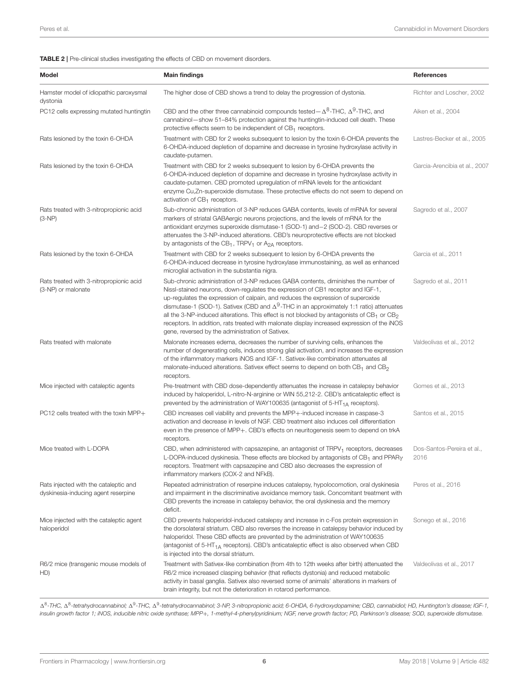#### <span id="page-5-0"></span>TABLE 2 | Pre-clinical studies investigating the effects of CBD on movement disorders.

| Model                                                                        | <b>Main findings</b>                                                                                                                                                                                                                                                                                                                                                                                                                                                                                                                                                                                               | References                         |
|------------------------------------------------------------------------------|--------------------------------------------------------------------------------------------------------------------------------------------------------------------------------------------------------------------------------------------------------------------------------------------------------------------------------------------------------------------------------------------------------------------------------------------------------------------------------------------------------------------------------------------------------------------------------------------------------------------|------------------------------------|
| Hamster model of idiopathic paroxysmal<br>dystonia                           | The higher dose of CBD shows a trend to delay the progression of dystonia.                                                                                                                                                                                                                                                                                                                                                                                                                                                                                                                                         | Richter and Loscher, 2002          |
| PC12 cells expressing mutated huntingtin                                     | CBD and the other three cannabinoid compounds tested $-\Delta^8$ -THC, $\Delta^9$ -THC, and<br>cannabinol-show 51-84% protection against the huntingtin-induced cell death. These<br>protective effects seem to be independent of $CB_1$ receptors.                                                                                                                                                                                                                                                                                                                                                                | Aiken et al., 2004                 |
| Rats lesioned by the toxin 6-OHDA                                            | Treatment with CBD for 2 weeks subsequent to lesion by the toxin 6-OHDA prevents the<br>6-OHDA-induced depletion of dopamine and decrease in tyrosine hydroxylase activity in<br>caudate-putamen.                                                                                                                                                                                                                                                                                                                                                                                                                  | Lastres-Becker et al., 2005        |
| Rats lesioned by the toxin 6-OHDA                                            | Treatment with CBD for 2 weeks subsequent to lesion by 6-OHDA prevents the<br>6-OHDA-induced depletion of dopamine and decrease in tyrosine hydroxylase activity in<br>caudate-putamen. CBD promoted uprequlation of mRNA levels for the antioxidant<br>enzyme Cu,Zn-superoxide dismutase. These protective effects do not seem to depend on<br>activation of $CB_1$ receptors.                                                                                                                                                                                                                                    | Garcia-Arencibia et al., 2007      |
| Rats treated with 3-nitropropionic acid<br>$(3-NP)$                          | Sub-chronic administration of 3-NP reduces GABA contents, levels of mRNA for several<br>markers of striatal GABA ergic neurons projections, and the levels of mRNA for the<br>antioxidant enzymes superoxide dismutase-1 (SOD-1) and -2 (SOD-2). CBD reverses or<br>attenuates the 3-NP-induced alterations. CBD's neuroprotective effects are not blocked<br>by antagonists of the $CB_1$ , TRPV <sub>1</sub> or $A_{2A}$ receptors.                                                                                                                                                                              | Sagredo et al., 2007               |
| Rats lesioned by the toxin 6-OHDA                                            | Treatment with CBD for 2 weeks subsequent to lesion by 6-OHDA prevents the<br>6-OHDA-induced decrease in tyrosine hydroxylase immunostaining, as well as enhanced<br>microglial activation in the substantia nigra.                                                                                                                                                                                                                                                                                                                                                                                                | Garcia et al., 2011                |
| Rats treated with 3-nitropropionic acid<br>(3-NP) or malonate                | Sub-chronic administration of 3-NP reduces GABA contents, diminishes the number of<br>Nissl-stained neurons, down-regulates the expression of CB1 receptor and IGF-1,<br>up-regulates the expression of calpain, and reduces the expression of superoxide<br>dismutase-1 (SOD-1). Sativex (CBD and $\Delta^9$ -THC in an approximately 1:1 ratio) attenuates<br>all the 3-NP-induced alterations. This effect is not blocked by antagonists of $CB_1$ or $CB_2$<br>receptors. In addition, rats treated with malonate display increased expression of the iNOS<br>gene, reversed by the administration of Sativex. | Sagredo et al., 2011               |
| Rats treated with malonate                                                   | Malonate increases edema, decreases the number of surviving cells, enhances the<br>number of degenerating cells, induces strong glial activation, and increases the expression<br>of the inflammatory markers iNOS and IGF-1. Sativex-like combination attenuates all<br>malonate-induced alterations. Sativex effect seems to depend on both $CB_1$ and $CB_2$<br>receptors.                                                                                                                                                                                                                                      | Valdeolivas et al., 2012           |
| Mice injected with cataleptic agents                                         | Pre-treatment with CBD dose-dependently attenuates the increase in catalepsy behavior<br>induced by haloperidol, L-nitro-N-arginine or WIN 55,212-2. CBD's anticataleptic effect is<br>prevented by the administration of WAY100635 (antagonist of $5-HT_{1A}$ receptors).                                                                                                                                                                                                                                                                                                                                         | Gomes et al., 2013                 |
| PC12 cells treated with the toxin MPP+                                       | CBD increases cell viability and prevents the MPP+-induced increase in caspase-3<br>activation and decrease in levels of NGF. CBD treatment also induces cell differentiation<br>even in the presence of MPP+. CBD's effects on neuritogenesis seem to depend on trkA<br>receptors.                                                                                                                                                                                                                                                                                                                                | Santos et al., 2015                |
| Mice treated with L-DOPA                                                     | CBD, when administered with capsazepine, an antagonist of $TRPV1$ receptors, decreases<br>L-DOPA-induced dyskinesia. These effects are blocked by antagonists of CB <sub>1</sub> and PPAR <sub>Y</sub><br>receptors. Treatment with capsazepine and CBD also decreases the expression of<br>inflammatory markers (COX-2 and NFkB).                                                                                                                                                                                                                                                                                 | Dos-Santos-Pereira et al.,<br>2016 |
| Rats injected with the cataleptic and<br>dyskinesia-inducing agent reserpine | Repeated administration of reserpine induces catalepsy, hypolocomotion, oral dyskinesia<br>and impairment in the discriminative avoidance memory task. Concomitant treatment with<br>CBD prevents the increase in catalepsy behavior, the oral dyskinesia and the memory<br>deficit.                                                                                                                                                                                                                                                                                                                               | Peres et al., 2016                 |
| Mice injected with the cataleptic agent<br>haloperidol                       | CBD prevents haloperidol-induced catalepsy and increase in c-Fos protein expression in<br>the dorsolateral striatum. CBD also reverses the increase in catalepsy behavior induced by<br>haloperidol. These CBD effects are prevented by the administration of WAY100635<br>(antagonist of 5-HT <sub>1A</sub> receptors). CBD's anticataleptic effect is also observed when CBD<br>is injected into the dorsal striatum.                                                                                                                                                                                            | Sonego et al., 2016                |
| R6/2 mice (transgenic mouse models of<br>HD)                                 | Treatment with Sativex-like combination (from 4th to 12th weeks after birth) attenuated the<br>R6/2 mice increased clasping behavior (that reflects dystonia) and reduced metabolic<br>activity in basal ganglia. Sativex also reversed some of animals' alterations in markers of<br>brain integrity, but not the deterioration in rotarod performance.                                                                                                                                                                                                                                                           | Valdeolivas et al., 2017           |

Δ<sup>8</sup>-THC, Δ<sup>8</sup>-tetrahydrocannabinol; Δ<sup>9</sup>-THC, Δ<sup>9</sup>-tetrahydrocannabinol; 3-NP, 3-nitropropionic acid; 6-OHDA, 6-hydroxydopamine; CBD, cannabidiol; HD, Huntington's disease; IGF-1, insulin growth factor 1; iNOS, inducible nitric oxide synthase; MPP+, 1-methyl-4-phenylpyridinium; NGF, nerve growth factor; PD, Parkinson's disease; SOD, superoxide dismutase.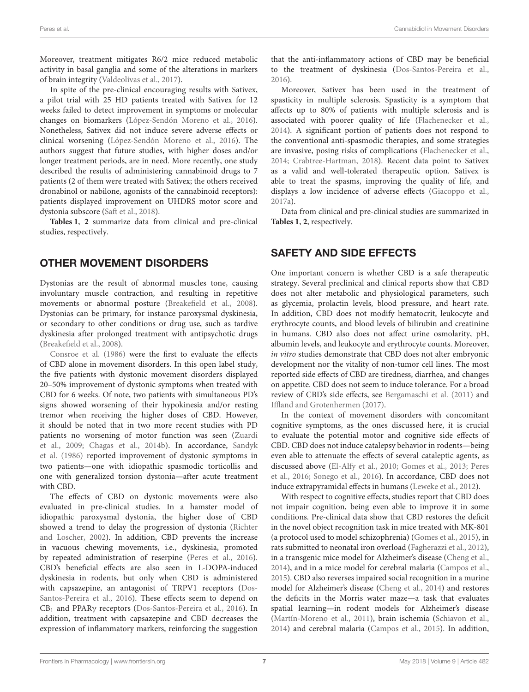Moreover, treatment mitigates R6/2 mice reduced metabolic activity in basal ganglia and some of the alterations in markers of brain integrity [\(Valdeolivas et al., 2017\)](#page-11-19).

In spite of the pre-clinical encouraging results with Sativex, a pilot trial with 25 HD patients treated with Sativex for 12 weeks failed to detect improvement in symptoms or molecular changes on biomarkers [\(López-Sendón Moreno et al., 2016\)](#page-10-27). Nonetheless, Sativex did not induce severe adverse effects or clinical worsening [\(López-Sendón Moreno et al., 2016\)](#page-10-27). The authors suggest that future studies, with higher doses and/or longer treatment periods, are in need. More recently, one study described the results of administering cannabinoid drugs to 7 patients (2 of them were treated with Sativex; the others received dronabinol or nabilone, agonists of the cannabinoid receptors): patients displayed improvement on UHDRS motor score and dystonia subscore [\(Saft et al., 2018\)](#page-11-16).

**[Tables 1](#page-4-0)**, **[2](#page-5-0)** summarize data from clinical and pre-clinical studies, respectively.

# OTHER MOVEMENT DISORDERS

Dystonias are the result of abnormal muscles tone, causing involuntary muscle contraction, and resulting in repetitive movements or abnormal posture [\(Breakefield et al., 2008\)](#page-8-24). Dystonias can be primary, for instance paroxysmal dyskinesia, or secondary to other conditions or drug use, such as tardive dyskinesia after prolonged treatment with antipsychotic drugs [\(Breakefield et al., 2008\)](#page-8-24).

[Consroe et al. \(1986\)](#page-8-23) were the first to evaluate the effects of CBD alone in movement disorders. In this open label study, the five patients with dystonic movement disorders displayed 20–50% improvement of dystonic symptoms when treated with CBD for 6 weeks. Of note, two patients with simultaneous PD's signs showed worsening of their hypokinesia and/or resting tremor when receiving the higher doses of CBD. However, it should be noted that in two more recent studies with PD patients no worsening of motor function was seen (Zuardi et al., [2009;](#page-11-11) [Chagas et al., 2014b\)](#page-8-16). In accordance, Sandyk et al. [\(1986\)](#page-11-17) reported improvement of dystonic symptoms in two patients—one with idiopathic spasmodic torticollis and one with generalized torsion dystonia—after acute treatment with CBD.

The effects of CBD on dystonic movements were also evaluated in pre-clinical studies. In a hamster model of idiopathic paroxysmal dystonia, the higher dose of CBD showed a trend to delay the progression of dystonia (Richter and Loscher, [2002\)](#page-10-28). In addition, CBD prevents the increase in vacuous chewing movements, i.e., dyskinesia, promoted by repeated administration of reserpine [\(Peres et al., 2016\)](#page-10-21). CBD's beneficial effects are also seen in L-DOPA-induced dyskinesia in rodents, but only when CBD is administered with capsazepine, an antagonist of TRPV1 receptors (Dos-Santos-Pereira et al., [2016\)](#page-8-7). These effects seem to depend on CB<sup>1</sup> and PPARγ receptors [\(Dos-Santos-Pereira et al., 2016\)](#page-8-7). In addition, treatment with capsazepine and CBD decreases the expression of inflammatory markers, reinforcing the suggestion that the anti-inflammatory actions of CBD may be beneficial to the treatment of dyskinesia [\(Dos-Santos-Pereira et al.,](#page-8-7) [2016\)](#page-8-7).

Moreover, Sativex has been used in the treatment of spasticity in multiple sclerosis. Spasticity is a symptom that affects up to 80% of patients with multiple sclerosis and is associated with poorer quality of life [\(Flachenecker et al.,](#page-9-27) [2014\)](#page-9-27). A significant portion of patients does not respond to the conventional anti-spasmodic therapies, and some strategies are invasive, posing risks of complications [\(Flachenecker et al.,](#page-9-27) [2014;](#page-9-27) [Crabtree-Hartman, 2018\)](#page-8-25). Recent data point to Sativex as a valid and well-tolerated therapeutic option. Sativex is able to treat the spasms, improving the quality of life, and displays a low incidence of adverse effects [\(Giacoppo et al.,](#page-9-28) [2017a\)](#page-9-28).

Data from clinical and pre-clinical studies are summarized in **[Tables 1](#page-4-0)**, **[2](#page-5-0)**, respectively.

# SAFETY AND SIDE EFFECTS

One important concern is whether CBD is a safe therapeutic strategy. Several preclinical and clinical reports show that CBD does not alter metabolic and physiological parameters, such as glycemia, prolactin levels, blood pressure, and heart rate. In addition, CBD does not modify hematocrit, leukocyte and erythrocyte counts, and blood levels of bilirubin and creatinine in humans. CBD also does not affect urine osmolarity, pH, albumin levels, and leukocyte and erythrocyte counts. Moreover, in vitro studies demonstrate that CBD does not alter embryonic development nor the vitality of non-tumor cell lines. The most reported side effects of CBD are tiredness, diarrhea, and changes on appetite. CBD does not seem to induce tolerance. For a broad review of CBD's side effects, see [Bergamaschi et al. \(2011\)](#page-8-26) and [Iffland and Grotenhermen \(2017\)](#page-9-29).

In the context of movement disorders with concomitant cognitive symptoms, as the ones discussed here, it is crucial to evaluate the potential motor and cognitive side effects of CBD. CBD does not induce catalepsy behavior in rodents—being even able to attenuate the effects of several cataleptic agents, as discussed above [\(El-Alfy et al., 2010;](#page-8-2) [Gomes et al., 2013;](#page-9-7) Peres et al., [2016;](#page-10-21) [Sonego et al., 2016\)](#page-11-12). In accordance, CBD does not induce extrapyramidal effects in humans [\(Leweke et al., 2012\)](#page-9-5).

With respect to cognitive effects, studies report that CBD does not impair cognition, being even able to improve it in some conditions. Pre-clinical data show that CBD restores the deficit in the novel object recognition task in mice treated with MK-801 (a protocol used to model schizophrenia) [\(Gomes et al., 2015\)](#page-9-30), in rats submitted to neonatal iron overload [\(Fagherazzi et al., 2012\)](#page-9-31), in a transgenic mice model for Alzheimer's disease [\(Cheng et al.,](#page-8-27) [2014\)](#page-8-27), and in a mice model for cerebral malaria [\(Campos et al.,](#page-8-28) [2015\)](#page-8-28). CBD also reverses impaired social recognition in a murine model for Alzheimer's disease [\(Cheng et al., 2014\)](#page-8-27) and restores the deficits in the Morris water maze—a task that evaluates spatial learning—in rodent models for Alzheimer's disease [\(Martín-Moreno et al., 2011\)](#page-10-29), brain ischemia [\(Schiavon et al.,](#page-11-20) [2014\)](#page-11-20) and cerebral malaria [\(Campos et al., 2015\)](#page-8-28). In addition,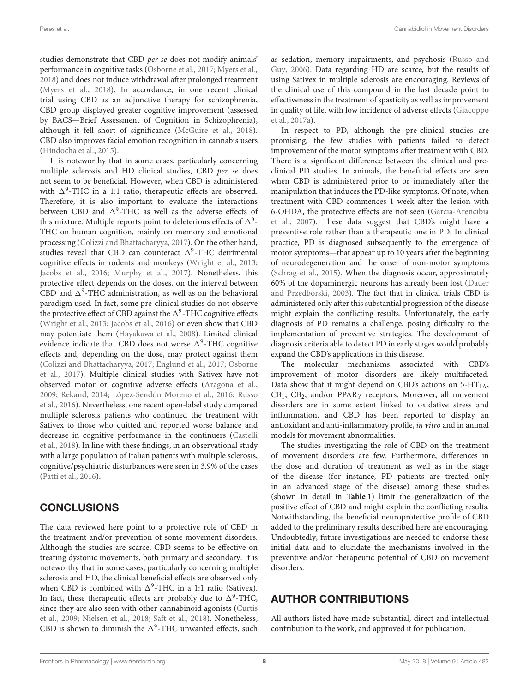studies demonstrate that CBD per se does not modify animals' performance in cognitive tasks [\(Osborne et al., 2017;](#page-10-30) [Myers et al.,](#page-10-31) [2018\)](#page-10-31) and does not induce withdrawal after prolonged treatment [\(Myers et al., 2018\)](#page-10-31). In accordance, in one recent clinical trial using CBD as an adjunctive therapy for schizophrenia, CBD group displayed greater cognitive improvement (assessed by BACS—Brief Assessment of Cognition in Schizophrenia), although it fell short of significance [\(McGuire et al., 2018\)](#page-10-32). CBD also improves facial emotion recognition in cannabis users [\(Hindocha et al., 2015\)](#page-9-32).

It is noteworthy that in some cases, particularly concerning multiple sclerosis and HD clinical studies, CBD per se does not seem to be beneficial. However, when CBD is administered with  $\Delta^9$ -THC in a 1:1 ratio, therapeutic effects are observed. Therefore, it is also important to evaluate the interactions between CBD and  $\Delta^9$ -THC as well as the adverse effects of this mixture. Multiple reports point to deleterious effects of  $\Delta^9$ -THC on human cognition, mainly on memory and emotional processing [\(Colizzi and Bhattacharyya, 2017\)](#page-8-29). On the other hand, studies reveal that CBD can counteract  $\Delta^9$ -THC detrimental cognitive effects in rodents and monkeys [\(Wright et al., 2013;](#page-11-21) [Jacobs et al., 2016;](#page-9-33) [Murphy et al., 2017\)](#page-10-33). Nonetheless, this protective effect depends on the doses, on the interval between CBD and  $\Delta^9$ -THC administration, as well as on the behavioral paradigm used. In fact, some pre-clinical studies do not observe the protective effect of CBD against the  $\Delta^9$ -THC cognitive effects [\(Wright et al., 2013;](#page-11-21) [Jacobs et al., 2016\)](#page-9-33) or even show that CBD may potentiate them [\(Hayakawa et al., 2008\)](#page-9-34). Limited clinical evidence indicate that CBD does not worse  $\Delta^9$ -THC cognitive effects and, depending on the dose, may protect against them [\(Colizzi and Bhattacharyya, 2017;](#page-8-29) [Englund et al., 2017;](#page-9-35) Osborne et al., [2017\)](#page-10-30). Multiple clinical studies with Sativex have not observed motor or cognitive adverse effects [\(Aragona et al.,](#page-8-30) [2009;](#page-8-30) [Rekand, 2014;](#page-10-34) [López-Sendón Moreno et al., 2016;](#page-10-27) Russo et al., [2016\)](#page-10-35). Nevertheless, one recent open-label study compared multiple sclerosis patients who continued the treatment with Sativex to those who quitted and reported worse balance and decrease in cognitive performance in the continuers (Castelli et al., [2018\)](#page-8-31). In line with these findings, in an observational study with a large population of Italian patients with multiple sclerosis, cognitive/psychiatric disturbances were seen in 3.9% of the cases [\(Patti et al., 2016\)](#page-10-36).

## **CONCLUSIONS**

The data reviewed here point to a protective role of CBD in the treatment and/or prevention of some movement disorders. Although the studies are scarce, CBD seems to be effective on treating dystonic movements, both primary and secondary. It is noteworthy that in some cases, particularly concerning multiple sclerosis and HD, the clinical beneficial effects are observed only when CBD is combined with  $\Delta^9$ -THC in a 1:1 ratio (Sativex). In fact, these therapeutic effects are probably due to  $\Delta^9$ -THC, since they are also seen with other cannabinoid agonists (Curtis et al., [2009;](#page-8-32) [Nielsen et al., 2018;](#page-10-37) [Saft et al., 2018\)](#page-11-16). Nonetheless, CBD is shown to diminish the  $\Delta^9$ -THC unwanted effects, such

as sedation, memory impairments, and psychosis (Russo and Guy, [2006\)](#page-10-38). Data regarding HD are scarce, but the results of using Sativex in multiple sclerosis are encouraging. Reviews of the clinical use of this compound in the last decade point to effectiveness in the treatment of spasticity as well as improvement in quality of life, with low incidence of adverse effects (Giacoppo et al., [2017a\)](#page-9-28).

In respect to PD, although the pre-clinical studies are promising, the few studies with patients failed to detect improvement of the motor symptoms after treatment with CBD. There is a significant difference between the clinical and preclinical PD studies. In animals, the beneficial effects are seen when CBD is administered prior to or immediately after the manipulation that induces the PD-like symptoms. Of note, when treatment with CBD commences 1 week after the lesion with 6-OHDA, the protective effects are not seen (Garcia-Arencibia et al., [2007\)](#page-9-19). These data suggest that CBD's might have a preventive role rather than a therapeutic one in PD. In clinical practice, PD is diagnosed subsequently to the emergence of motor symptoms—that appear up to 10 years after the beginning of neurodegeneration and the onset of non-motor symptoms [\(Schrag et al., 2015\)](#page-11-22). When the diagnosis occur, approximately 60% of the dopaminergic neurons has already been lost (Dauer and Przedborski, [2003\)](#page-8-14). The fact that in clinical trials CBD is administered only after this substantial progression of the disease might explain the conflicting results. Unfortunately, the early diagnosis of PD remains a challenge, posing difficulty to the implementation of preventive strategies. The development of diagnosis criteria able to detect PD in early stages would probably expand the CBD's applications in this disease.

The molecular mechanisms associated with CBD's improvement of motor disorders are likely multifaceted. Data show that it might depend on CBD's actions on  $5-HT<sub>1A</sub>$ ,  $CB_1$ ,  $CB_2$ , and/or PPAR $\gamma$  receptors. Moreover, all movement disorders are in some extent linked to oxidative stress and inflammation, and CBD has been reported to display an antioxidant and anti-inflammatory profile, in vitro and in animal models for movement abnormalities.

The studies investigating the role of CBD on the treatment of movement disorders are few. Furthermore, differences in the dose and duration of treatment as well as in the stage of the disease (for instance, PD patients are treated only in an advanced stage of the disease) among these studies (shown in detail in **[Table 1](#page-4-0)**) limit the generalization of the positive effect of CBD and might explain the conflicting results. Notwithstanding, the beneficial neuroprotective profile of CBD added to the preliminary results described here are encouraging. Undoubtedly, future investigations are needed to endorse these initial data and to elucidate the mechanisms involved in the preventive and/or therapeutic potential of CBD on movement disorders.

## AUTHOR CONTRIBUTIONS

All authors listed have made substantial, direct and intellectual contribution to the work, and approved it for publication.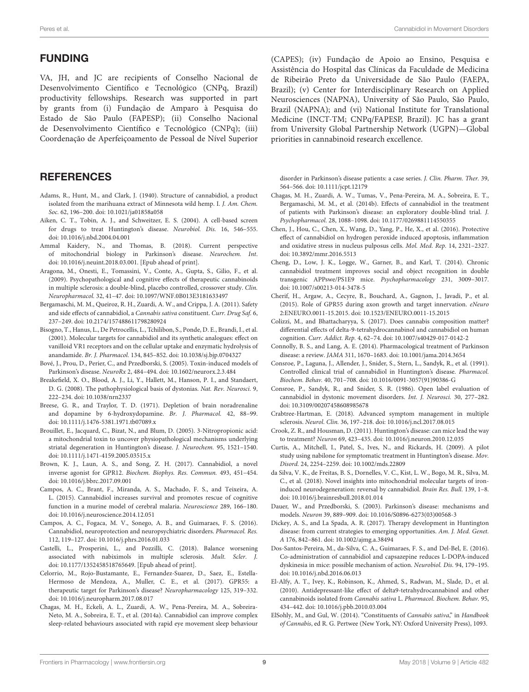#### FUNDING

VA, JH, and JC are recipients of Conselho Nacional de Desenvolvimento Científico e Tecnológico (CNPq, Brazil) productivity fellowships. Research was supported in part by grants from (i) Fundação de Amparo à Pesquisa do Estado de São Paulo (FAPESP); (ii) Conselho Nacional de Desenvolvimento Científico e Tecnológico (CNPq); (iii) Coordenação de Aperfeiçoamento de Pessoal de Nível Superior (CAPES); (iv) Fundação de Apoio ao Ensino, Pesquisa e Assistência do Hospital das Clínicas da Faculdade de Medicina de Ribeirão Preto da Universidade de São Paulo (FAEPA, Brazil); (v) Center for Interdisciplinary Research on Applied Neurosciences (NAPNA), University of São Paulo, São Paulo, Brazil (NAPNA); and (vi) National Institute for Translational Medicine (INCT-TM; CNPq/FAPESP, Brazil). JC has a grant from University Global Partnership Network (UGPN)—Global priorities in cannabinoid research excellence.

#### **REFERENCES**

- <span id="page-8-1"></span>Adams, R., Hunt, M., and Clark, J. (1940). Structure of cannabidiol, a product isolated from the marihuana extract of Minnesota wild hemp. I. J. Am. Chem. Soc. 62, 196–200. doi: [10.1021/ja01858a058](https://doi.org/10.1021/ja01858a058)
- <span id="page-8-21"></span>Aiken, C. T., Tobin, A. J., and Schweitzer, E. S. (2004). A cell-based screen for drugs to treat Huntington's disease. Neurobiol. Dis. 16, 546–555. doi: [10.1016/j.nbd.2004.04.001](https://doi.org/10.1016/j.nbd.2004.04.001)
- <span id="page-8-12"></span>Ammal Kaidery, N., and Thomas, B. (2018). Current perspective of mitochondrial biology in Parkinson's disease. Neurochem. Int. doi: [10.1016/j.neuint.2018.03.001.](https://doi.org/10.1016/j.neuint.2018.03.001) [Epub ahead of print].
- <span id="page-8-30"></span>Aragona, M., Onesti, E., Tomassini, V., Conte, A., Gupta, S., Gilio, F., et al. (2009). Psychopathological and cognitive effects of therapeutic cannabinoids in multiple sclerosis: a double-blind, placebo controlled, crossover study. Clin. Neuropharmacol. 32, 41–47. doi: [10.1097/WNF.0B013E3181633497](https://doi.org/10.1097/WNF.0B013E3181633497)
- <span id="page-8-26"></span>Bergamaschi, M. M., Queiroz, R. H., Zuardi, A. W., and Crippa, J. A. (2011). Safety and side effects of cannabidiol, a Cannabis sativa constituent. Curr. Drug Saf. 6, 237–249. doi: [10.2174/157488611798280924](https://doi.org/10.2174/157488611798280924)
- <span id="page-8-6"></span>Bisogno, T., Hanus, L., De Petrocellis, L., Tchilibon, S., Ponde, D. E., Brandi, I., et al. (2001). Molecular targets for cannabidiol and its synthetic analogues: effect on vanilloid VR1 receptors and on the cellular uptake and enzymatic hydrolysis of anandamide. Br. J. Pharmacol. 134, 845–852. doi: [10.1038/sj.bjp.0704327](https://doi.org/10.1038/sj.bjp.0704327)
- <span id="page-8-17"></span>Bové, J., Prou, D., Perier, C., and Przedborski, S. (2005). Toxin-induced models of Parkinson's disease. NeuroRx 2, 484–494. doi: [10.1602/neurorx.2.3.484](https://doi.org/10.1602/neurorx.2.3.484)
- <span id="page-8-24"></span>Breakefield, X. O., Blood, A. J., Li, Y., Hallett, M., Hanson, P. I., and Standaert, D. G. (2008). The pathophysiological basis of dystonias. Nat. Rev. Neurosci. 9, 222–234. doi: [10.1038/nrn2337](https://doi.org/10.1038/nrn2337)
- <span id="page-8-18"></span>Breese, G. R., and Traylor, T. D. (1971). Depletion of brain noradrenaline and dopamine by 6-hydroxydopamine. Br. J. Pharmacol. 42, 88–99. doi: [10.1111/j.1476-5381.1971.tb07089.x](https://doi.org/10.1111/j.1476-5381.1971.tb07089.x)
- <span id="page-8-22"></span>Brouillet, E., Jacquard, C., Bizat, N., and Blum, D. (2005). 3-Nitropropionic acid: a mitochondrial toxin to uncover physiopathological mechanisms underlying striatal degeneration in Huntington's disease. J. Neurochem. 95, 1521–1540. doi: [10.1111/j.1471-4159.2005.03515.x](https://doi.org/10.1111/j.1471-4159.2005.03515.x)
- <span id="page-8-10"></span>Brown, K. J., Laun, A. S., and Song, Z. H. (2017). Cannabidiol, a novel inverse agonist for GPR12. Biochem. Biophys. Res. Commun. 493, 451–454. doi: [10.1016/j.bbrc.2017.09.001](https://doi.org/10.1016/j.bbrc.2017.09.001)
- <span id="page-8-28"></span>Campos, A. C., Brant, F., Miranda, A. S., Machado, F. S., and Teixeira, A. L. (2015). Cannabidiol increases survival and promotes rescue of cognitive function in a murine model of cerebral malaria. Neuroscience 289, 166–180. doi: [10.1016/j.neuroscience.2014.12.051](https://doi.org/10.1016/j.neuroscience.2014.12.051)
- <span id="page-8-3"></span>Campos, A. C., Fogaca, M. V., Sonego, A. B., and Guimaraes, F. S. (2016). Cannabidiol, neuroprotection and neuropsychiatric disorders. Pharmacol. Res. 112, 119–127. doi: [10.1016/j.phrs.2016.01.033](https://doi.org/10.1016/j.phrs.2016.01.033)
- <span id="page-8-31"></span>Castelli, L., Prosperini, L., and Pozzilli, C. (2018). Balance worsening associated with nabiximols in multiple sclerosis. Mult. Scler. J. doi: [10.1177/1352458518765649.](https://doi.org/10.1177/1352458518765649) [Epub ahead of print].
- <span id="page-8-8"></span>Celorrio, M., Rojo-Bustamante, E., Fernandez-Suarez, D., Saez, E., Estella-Hermoso de Mendoza, A., Muller, C. E., et al. (2017). GPR55: a therapeutic target for Parkinson's disease? Neuropharmacology 125, 319–332. doi: [10.1016/j.neuropharm.2017.08.017](https://doi.org/10.1016/j.neuropharm.2017.08.017)
- <span id="page-8-15"></span>Chagas, M. H., Eckeli, A. L., Zuardi, A. W., Pena-Pereira, M. A., Sobreira-Neto, M. A., Sobreira, E. T., et al. (2014a). Cannabidiol can improve complex sleep-related behaviours associated with rapid eye movement sleep behaviour

disorder in Parkinson's disease patients: a case series. J. Clin. Pharm. Ther. 39, 564–566. doi: [10.1111/jcpt.12179](https://doi.org/10.1111/jcpt.12179)

- <span id="page-8-16"></span>Chagas, M. H., Zuardi, A. W., Tumas, V., Pena-Pereira, M. A., Sobreira, E. T., Bergamaschi, M. M., et al. (2014b). Effects of cannabidiol in the treatment of patients with Parkinson's disease: an exploratory double-blind trial. J. Psychopharmacol. 28, 1088–1098. doi: [10.1177/0269881114550355](https://doi.org/10.1177/0269881114550355)
- <span id="page-8-13"></span>Chen, J., Hou, C., Chen, X., Wang, D., Yang, P., He, X., et al. (2016). Protective effect of cannabidiol on hydrogen peroxide induced apoptosis, inflammation and oxidative stress in nucleus pulposus cells. Mol. Med. Rep. 14, 2321–2327. doi: [10.3892/mmr.2016.5513](https://doi.org/10.3892/mmr.2016.5513)
- <span id="page-8-27"></span>Cheng, D., Low, J. K., Logge, W., Garner, B., and Karl, T. (2014). Chronic cannabidiol treatment improves social and object recognition in double transgenic APPswe/PS1E9 mice. Psychopharmacology 231, 3009–3017. doi: [10.1007/s00213-014-3478-5](https://doi.org/10.1007/s00213-014-3478-5)
- <span id="page-8-9"></span>Cherif, H., Argaw, A., Cecyre, B., Bouchard, A., Gagnon, J., Javadi, P., et al. (2015). Role of GPR55 during axon growth and target innervation. eNeuro 2:ENEURO.0011-15.2015. doi: [10.1523/ENEURO.0011-15.2015](https://doi.org/10.1523/ENEURO.0011-15.2015)
- <span id="page-8-29"></span>Colizzi, M., and Bhattacharyya, S. (2017). Does cannabis composition matter? differential effects of delta-9-tetrahydrocannabinol and cannabidiol on human cognition. Curr. Addict. Rep. 4, 62–74. doi: [10.1007/s40429-017-0142-2](https://doi.org/10.1007/s40429-017-0142-2)
- <span id="page-8-4"></span>Connolly, B. S., and Lang, A. E. (2014). Pharmacological treatment of Parkinson disease: a review. JAMA 311, 1670–1683. doi: [10.1001/jama.2014.3654](https://doi.org/10.1001/jama.2014.3654)
- <span id="page-8-20"></span>Consroe, P., Laguna, J., Allender, J., Snider, S., Stern, L., Sandyk, R., et al. (1991). Controlled clinical trial of cannabidiol in Huntington's disease. Pharmacol. Biochem. Behav. 40, 701–708. doi: [10.1016/0091-3057\(91\)90386-G](https://doi.org/10.1016/0091-3057(91)90386-G)
- <span id="page-8-23"></span>Consroe, P., Sandyk, R., and Snider, S. R. (1986). Open label evaluation of cannabidiol in dystonic movement disorders. Int. J. Neurosci. 30, 277–282. doi: [10.3109/00207458608985678](https://doi.org/10.3109/00207458608985678)
- <span id="page-8-25"></span>Crabtree-Hartman, E. (2018). Advanced symptom management in multiple sclerosis. Neurol. Clin. 36, 197–218. doi: [10.1016/j.ncl.2017.08.015](https://doi.org/10.1016/j.ncl.2017.08.015)
- <span id="page-8-19"></span>Crook, Z. R., and Housman, D. (2011). Huntington's disease: can mice lead the way to treatment? Neuron 69, 423–435. doi: [10.1016/j.neuron.2010.12.035](https://doi.org/10.1016/j.neuron.2010.12.035)
- <span id="page-8-32"></span>Curtis, A., Mitchell, I., Patel, S., Ives, N., and Rickards, H. (2009). A pilot study using nabilone for symptomatic treatment in Huntington's disease. Mov. Disord. 24, 2254–2259. doi: [10.1002/mds.22809](https://doi.org/10.1002/mds.22809)
- <span id="page-8-11"></span>da Silva, V. K., de Freitas, B. S., Dornelles, V. C., Kist, L. W., Bogo, M. R., Silva, M. C., et al. (2018). Novel insights into mitochondrial molecular targets of ironinduced neurodegeneration: reversal by cannabidiol. Brain Res. Bull. 139, 1–8. doi: [10.1016/j.brainresbull.2018.01.014](https://doi.org/10.1016/j.brainresbull.2018.01.014)
- <span id="page-8-14"></span>Dauer, W., and Przedborski, S. (2003). Parkinson's disease: mechanisms and models. Neuron 39, 889–909. doi: [10.1016/S0896-6273\(03\)00568-3](https://doi.org/10.1016/S0896-6273(03)00568-3)
- <span id="page-8-5"></span>Dickey, A. S., and La Spada, A. R. (2017). Therapy development in Huntington disease: from current strategies to emerging opportunities. Am. J. Med. Genet. A 176, 842–861. doi: [10.1002/ajmg.a.38494](https://doi.org/10.1002/ajmg.a.38494)
- <span id="page-8-7"></span>Dos-Santos-Pereira, M., da-Silva, C. A., Guimaraes, F. S., and Del-Bel, E. (2016). Co-administration of cannabidiol and capsazepine reduces L-DOPA-induced dyskinesia in mice: possible mechanism of action. Neurobiol. Dis. 94, 179–195. doi: [10.1016/j.nbd.2016.06.013](https://doi.org/10.1016/j.nbd.2016.06.013)
- <span id="page-8-2"></span>El-Alfy, A. T., Ivey, K., Robinson, K., Ahmed, S., Radwan, M., Slade, D., et al. (2010). Antidepressant-like effect of delta9-tetrahydrocannabinol and other cannabinoids isolated from Cannabis sativa L. Pharmacol. Biochem. Behav. 95, 434–442. doi: [10.1016/j.pbb.2010.03.004](https://doi.org/10.1016/j.pbb.2010.03.004)
- <span id="page-8-0"></span>ElSohly, M., and Gul, W. (2014). "Constituents of Cannabis sativa," in Handbook of Cannabis, ed R. G. Pertwee (New York, NY: Oxford University Press), 1093.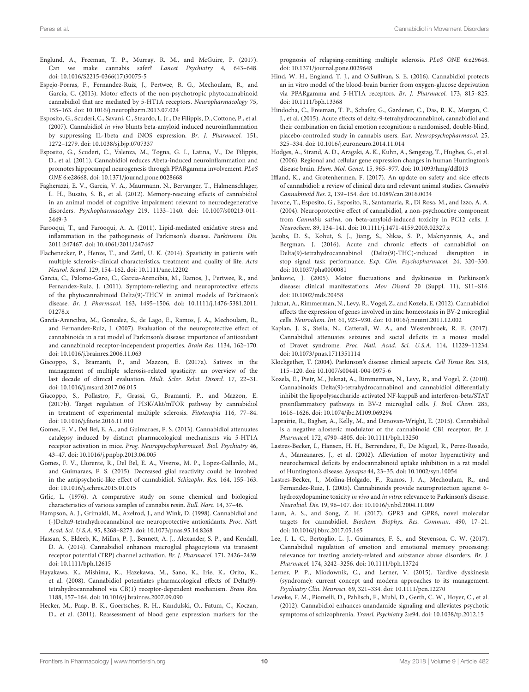- <span id="page-9-35"></span>Englund, A., Freeman, T. P., Murray, R. M., and McGuire, P. (2017). Can we make cannabis safer? Lancet Psychiatry 4, 643–648. doi: [10.1016/S2215-0366\(17\)30075-5](https://doi.org/10.1016/S2215-0366(17)30075-5)
- <span id="page-9-6"></span>Espejo-Porras, F., Fernandez-Ruiz, J., Pertwee, R. G., Mechoulam, R., and Garcia, C. (2013). Motor effects of the non-psychotropic phytocannabinoid cannabidiol that are mediated by 5-HT1A receptors. Neuropharmacology 75, 155–163. doi: [10.1016/j.neuropharm.2013.07.024](https://doi.org/10.1016/j.neuropharm.2013.07.024)
- <span id="page-9-16"></span>Esposito, G., Scuderi, C., Savani, C., Steardo, L. Jr., De Filippis, D., Cottone, P., et al. (2007). Cannabidiol in vivo blunts beta-amyloid induced neuroinflammation by suppressing IL-1beta and iNOS expression. Br. J. Pharmacol. 151, 1272–1279. doi: [10.1038/sj.bjp.0707337](https://doi.org/10.1038/sj.bjp.0707337)
- <span id="page-9-10"></span>Esposito, G., Scuderi, C., Valenza, M., Togna, G. I., Latina, V., De Filippis, D., et al. (2011). Cannabidiol reduces Abeta-induced neuroinflammation and promotes hippocampal neurogenesis through PPARgamma involvement. PLoS ONE 6:e28668. doi: [10.1371/journal.pone.0028668](https://doi.org/10.1371/journal.pone.0028668)
- <span id="page-9-31"></span>Fagherazzi, E. V., Garcia, V. A., Maurmann, N., Bervanger, T., Halmenschlager, L. H., Busato, S. B., et al. (2012). Memory-rescuing effects of cannabidiol in an animal model of cognitive impairment relevant to neurodegenerative disorders. Psychopharmacology [219, 1133–1140. doi: 10.1007/s00213-011-](https://doi.org/10.1007/s00213-011-2449-3) 2449-3
- <span id="page-9-1"></span>Farooqui, T., and Farooqui, A. A. (2011). Lipid-mediated oxidative stress and inflammation in the pathogenesis of Parkinson's disease. Parkinsons. Dis. 2011:247467. doi: [10.4061/2011/247467](https://doi.org/10.4061/2011/247467)
- <span id="page-9-27"></span>Flachenecker, P., Henze, T., and Zettl, U. K. (2014). Spasticity in patients with multiple sclerosis–clinical characteristics, treatment and quality of life. Acta Neurol. Scand. 129, 154–162. doi: [10.1111/ane.12202](https://doi.org/10.1111/ane.12202)
- <span id="page-9-25"></span>Garcia, C., Palomo-Garo, C., Garcia-Arencibia, M., Ramos, J., Pertwee, R., and Fernandez-Ruiz, J. (2011). Symptom-relieving and neuroprotective effects of the phytocannabinoid Delta(9)-THCV in animal models of Parkinson's disease. Br. J. Pharmacol. [163, 1495–1506. doi: 10.1111/j.1476-5381.2011.](https://doi.org/10.1111/j.1476-5381.2011.01278.x) 01278.x
- <span id="page-9-19"></span>García-Arencibia, M., Gonzalez, S., de Lago, E., Ramos, J. A., Mechoulam, R., and Fernandez-Ruiz, J. (2007). Evaluation of the neuroprotective effect of cannabinoids in a rat model of Parkinson's disease: importance of antioxidant and cannabinoid receptor-independent properties. Brain Res. 1134, 162–170. doi: [10.1016/j.brainres.2006.11.063](https://doi.org/10.1016/j.brainres.2006.11.063)
- <span id="page-9-28"></span>Giacoppo, S., Bramanti, P., and Mazzon, E. (2017a). Sativex in the management of multiple sclerosis-related spasticity: an overview of the last decade of clinical evaluation. Mult. Scler. Relat. Disord. 17, 22–31. doi: [10.1016/j.msard.2017.06.015](https://doi.org/10.1016/j.msard.2017.06.015)
- <span id="page-9-11"></span>Giacoppo, S., Pollastro, F., Grassi, G., Bramanti, P., and Mazzon, E. (2017b). Target regulation of PI3K/Akt/mTOR pathway by cannabidiol in treatment of experimental multiple sclerosis. Fitoterapia 116, 77–84. doi: [10.1016/j.fitote.2016.11.010](https://doi.org/10.1016/j.fitote.2016.11.010)
- <span id="page-9-7"></span>Gomes, F. V., Del Bel, E. A., and Guimaraes, F. S. (2013). Cannabidiol attenuates catalepsy induced by distinct pharmacological mechanisms via 5-HT1A receptor activation in mice. Prog. Neuropsychopharmacol. Biol. Psychiatry 46, 43–47. doi: [10.1016/j.pnpbp.2013.06.005](https://doi.org/10.1016/j.pnpbp.2013.06.005)
- <span id="page-9-30"></span>Gomes, F. V., Llorente, R., Del Bel, E. A., Viveros, M. P., Lopez-Gallardo, M., and Guimaraes, F. S. (2015). Decreased glial reactivity could be involved in the antipsychotic-like effect of cannabidiol. Schizophr. Res. 164, 155–163. doi: [10.1016/j.schres.2015.01.015](https://doi.org/10.1016/j.schres.2015.01.015)
- <span id="page-9-0"></span>Grlic, L. (1976). A comparative study on some chemical and biological characteristics of various samples of cannabis resin. Bull. Narc. 14, 37–46.
- <span id="page-9-18"></span>Hampson, A. J., Grimaldi, M., Axelrod, J., and Wink, D. (1998). Cannabidiol and (-)Delta9-tetrahydrocannabinol are neuroprotective antioxidants. Proc. Natl. Acad. Sci. U.S.A. 95, 8268–8273. doi: [10.1073/pnas.95.14.8268](https://doi.org/10.1073/pnas.95.14.8268)
- <span id="page-9-4"></span>Hassan, S., Eldeeb, K., Millns, P. J., Bennett, A. J., Alexander, S. P., and Kendall, D. A. (2014). Cannabidiol enhances microglial phagocytosis via transient receptor potential (TRP) channel activation. Br. J. Pharmacol. 171, 2426–2439. doi: [10.1111/bph.12615](https://doi.org/10.1111/bph.12615)
- <span id="page-9-34"></span>Hayakawa, K., Mishima, K., Hazekawa, M., Sano, K., Irie, K., Orito, K., et al. (2008). Cannabidiol potentiates pharmacological effects of Delta(9) tetrahydrocannabinol via CB(1) receptor-dependent mechanism. Brain Res. 1188, 157–164. doi: [10.1016/j.brainres.2007.09.090](https://doi.org/10.1016/j.brainres.2007.09.090)
- <span id="page-9-15"></span>Hecker, M., Paap, B. K., Goertsches, R. H., Kandulski, O., Fatum, C., Koczan, D., et al. (2011). Reassessment of blood gene expression markers for the

prognosis of relapsing-remitting multiple sclerosis. PLoS ONE 6:e29648. doi: [10.1371/journal.pone.0029648](https://doi.org/10.1371/journal.pone.0029648)

- <span id="page-9-8"></span>Hind, W. H., England, T. J., and O'Sullivan, S. E. (2016). Cannabidiol protects an in vitro model of the blood-brain barrier from oxygen-glucose deprivation via PPARgamma and 5-HT1A receptors. Br. J. Pharmacol. 173, 815–825. doi: [10.1111/bph.13368](https://doi.org/10.1111/bph.13368)
- <span id="page-9-32"></span>Hindocha, C., Freeman, T. P., Schafer, G., Gardener, C., Das, R. K., Morgan, C. J., et al. (2015). Acute effects of delta-9-tetrahydrocannabinol, cannabidiol and their combination on facial emotion recognition: a randomised, double-blind, placebo-controlled study in cannabis users. Eur. Neuropsychopharmacol. 25, 325–334. doi: [10.1016/j.euroneuro.2014.11.014](https://doi.org/10.1016/j.euroneuro.2014.11.014)
- <span id="page-9-14"></span>Hodges, A., Strand, A. D., Aragaki, A. K., Kuhn, A., Sengstag, T., Hughes, G., et al. (2006). Regional and cellular gene expression changes in human Huntington's disease brain. Hum. Mol. Genet. 15, 965–977. doi: [10.1093/hmg/ddl013](https://doi.org/10.1093/hmg/ddl013)
- <span id="page-9-29"></span>Iffland, K., and Grotenhermen, F. (2017). An update on safety and side effects of cannabidiol: a review of clinical data and relevant animal studies. Cannabis Cannabinoid Res. 2, 139–154. doi: [10.1089/can.2016.0034](https://doi.org/10.1089/can.2016.0034)
- <span id="page-9-20"></span>Iuvone, T., Esposito, G., Esposito, R., Santamaria, R., Di Rosa, M., and Izzo, A. A. (2004). Neuroprotective effect of cannabidiol, a non-psychoactive component from Cannabis sativa, on beta-amyloid-induced toxicity in PC12 cells. J. Neurochem. 89, 134–141. doi: [10.1111/j.1471-4159.2003.02327.x](https://doi.org/10.1111/j.1471-4159.2003.02327.x)
- <span id="page-9-33"></span>Jacobs, D. S., Kohut, S. J., Jiang, S., Nikas, S. P., Makriyannis, A., and Bergman, J. (2016). Acute and chronic effects of cannabidiol on Delta(9)-tetrahydrocannabinol (Delta(9)-THC)-induced disruption in stop signal task performance. Exp. Clin. Psychopharmacol. 24, 320–330. doi: [10.1037/pha0000081](https://doi.org/10.1037/pha0000081)
- <span id="page-9-23"></span>Jankovic, J. (2005). Motor fluctuations and dyskinesias in Parkinson's disease: clinical manifestations. Mov Disord 20 (Suppl. 11), S11–S16. doi: [10.1002/mds.20458](https://doi.org/10.1002/mds.20458)
- <span id="page-9-21"></span>Juknat, A., Rimmerman, N., Levy, R., Vogel, Z., and Kozela, E. (2012). Cannabidiol affects the expression of genes involved in zinc homeostasis in BV-2 microglial cells. Neurochem. Int. 61, 923–930. doi: [10.1016/j.neuint.2011.12.002](https://doi.org/10.1016/j.neuint.2011.12.002)
- <span id="page-9-12"></span>Kaplan, J. S., Stella, N., Catterall, W. A., and Westenbroek, R. E. (2017). Cannabidiol attenuates seizures and social deficits in a mouse model of Dravet syndrome. Proc. Natl. Acad. Sci. U.S.A. 114, 11229–11234. doi: [10.1073/pnas.1711351114](https://doi.org/10.1073/pnas.1711351114)
- <span id="page-9-22"></span>Klockgether, T. (2004). Parkinson's disease: clinical aspects. Cell Tissue Res. 318, 115–120. doi: [10.1007/s00441-004-0975-6](https://doi.org/10.1007/s00441-004-0975-6)
- <span id="page-9-17"></span>Kozela, E., Pietr, M., Juknat, A., Rimmerman, N., Levy, R., and Vogel, Z. (2010). Cannabinoids Delta(9)-tetrahydrocannabinol and cannabidiol differentially inhibit the lipopolysaccharide-activated NF-kappaB and interferon-beta/STAT proinflammatory pathways in BV-2 microglial cells. J. Biol. Chem. 285, 1616–1626. doi: [10.1074/jbc.M109.069294](https://doi.org/10.1074/jbc.M109.069294)
- <span id="page-9-3"></span>Laprairie, R., Bagher, A., Kelly, M., and Denovan-Wright, E. (2015). Cannabidiol is a negative allosteric modulator of the cannabinoid CB1 receptor. Br. J. Pharmacol. 172, 4790–4805. doi: [10.1111/bph.13250](https://doi.org/10.1111/bph.13250)
- <span id="page-9-26"></span>Lastres-Becker, I., Hansen, H. H., Berrendero, F., De Miguel, R., Perez-Rosado, A., Manzanares, J., et al. (2002). Alleviation of motor hyperactivity and neurochemical deficits by endocannabinoid uptake inhibition in a rat model of Huntington's disease. Synapse 44, 23–35. doi: [10.1002/syn.10054](https://doi.org/10.1002/syn.10054)
- <span id="page-9-24"></span>Lastres-Becker, I., Molina-Holgado, F., Ramos, J. A., Mechoulam, R., and Fernandez-Ruiz, J. (2005). Cannabinoids provide neuroprotection against 6 hydroxydopamine toxicity in vivo and in vitro: relevance to Parkinson's disease. Neurobiol. Dis. 19, 96–107. doi: [10.1016/j.nbd.2004.11.009](https://doi.org/10.1016/j.nbd.2004.11.009)
- <span id="page-9-13"></span>Laun, A. S., and Song, Z. H. (2017). GPR3 and GPR6, novel molecular targets for cannabidiol. Biochem. Biophys. Res. Commun. 490, 17–21. doi: [10.1016/j.bbrc.2017.05.165](https://doi.org/10.1016/j.bbrc.2017.05.165)
- <span id="page-9-9"></span>Lee, J. L. C., Bertoglio, L. J., Guimaraes, F. S., and Stevenson, C. W. (2017). Cannabidiol regulation of emotion and emotional memory processing: relevance for treating anxiety-related and substance abuse disorders. Br. J. Pharmacol. 174, 3242–3256. doi: [10.1111/bph.13724](https://doi.org/10.1111/bph.13724)
- <span id="page-9-2"></span>Lerner, P. P., Miodownik, C., and Lerner, V. (2015). Tardive dyskinesia (syndrome): current concept and modern approaches to its management. Psychiatry Clin. Neurosci. 69, 321–334. doi: [10.1111/pcn.12270](https://doi.org/10.1111/pcn.12270)
- <span id="page-9-5"></span>Leweke, F. M., Piomelli, D., Pahlisch, F., Muhl, D., Gerth, C. W., Hoyer, C., et al. (2012). Cannabidiol enhances anandamide signaling and alleviates psychotic symptoms of schizophrenia. Transl. Psychiatry 2:e94. doi: [10.1038/tp.2012.15](https://doi.org/10.1038/tp.2012.15)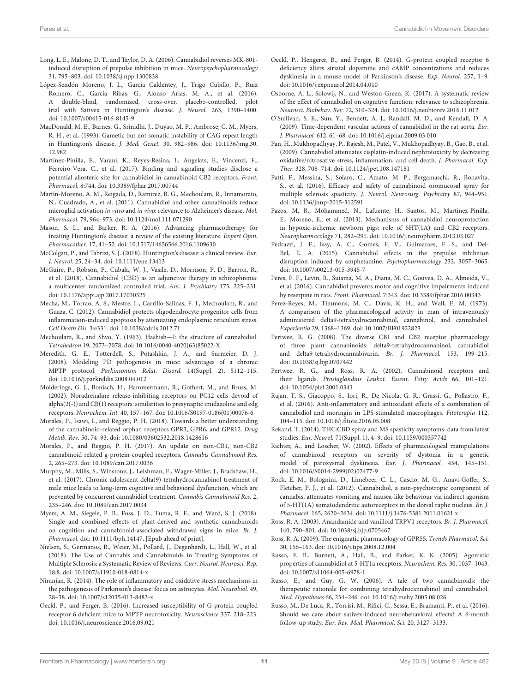- <span id="page-10-5"></span>Long, L. E., Malone, D. T., and Taylor, D. A. (2006). Cannabidiol reverses MK-801 induced disruption of prepulse inhibition in mice. Neuropsychopharmacology 31, 795–803. doi: [10.1038/sj.npp.1300838](https://doi.org/10.1038/sj.npp.1300838)
- <span id="page-10-27"></span>López-Sendón Moreno, J. L., Garcia Caldentey, J., Trigo Cubillo, P., Ruiz Romero, C., Garcia Ribas, G., Alonso Arias, M. A., et al. (2016). A double-blind, randomized, cross-over, placebo-controlled, pilot trial with Sativex in Huntington's disease. J. Neurol. 263, 1390–1400. doi: [10.1007/s00415-016-8145-9](https://doi.org/10.1007/s00415-016-8145-9)
- <span id="page-10-24"></span>MacDonald, M. E., Barnes, G., Srinidhi, J., Duyao, M. P., Ambrose, C. M., Myers, R. H., et al. (1993). Gametic but not somatic instability of CAG repeat length in Huntington's disease. J. Med. Genet. [30, 982–986. doi: 10.1136/jmg.30.](https://doi.org/10.1136/jmg.30.12.982) 12.982
- <span id="page-10-4"></span>Martínez-Pinilla, E., Varani, K., Reyes-Resina, I., Angelats, E., Vincenzi, F., Ferreiro-Vera, C., et al. (2017). Binding and signaling studies disclose a potential allosteric site for cannabidiol in cannabinoid CB2 receptors. Front. Pharmacol. 8:744. doi: [10.3389/fphar.2017.00744](https://doi.org/10.3389/fphar.2017.00744)
- <span id="page-10-29"></span>Martín-Moreno, A. M., Reigada, D., Ramirez, B. G., Mechoulam, R., Innamorato, N., Cuadrado, A., et al. (2011). Cannabidiol and other cannabinoids reduce microglial activation in vitro and in vivo: relevance to Alzheimer's disease. Mol. Pharmacol. 79, 964–973. doi: [10.1124/mol.111.071290](https://doi.org/10.1124/mol.111.071290)
- <span id="page-10-25"></span>Mason, S. L., and Barker, R. A. (2016). Advancing pharmacotherapy for treating Huntington's disease: a review of the existing literature. Expert Opin. Pharmacother. 17, 41–52. doi: [10.1517/14656566.2016.1109630](https://doi.org/10.1517/14656566.2016.1109630)
- <span id="page-10-23"></span>McColgan, P., and Tabrizi, S. J. (2018). Huntington's disease: a clinical review. Eur. J. Neurol. 25, 24–34. doi: [10.1111/ene.13413](https://doi.org/10.1111/ene.13413)
- <span id="page-10-32"></span>McGuire, P., Robson, P., Cubala, W. J., Vasile, D., Morrison, P. D., Barron, R., et al. (2018). Cannabidiol (CBD) as an adjunctive therapy in schizophrenia: a multicenter randomized controlled trial. Am. J. Psychiatry 175, 225–231. doi: [10.1176/appi.ajp.2017.17030325](https://doi.org/10.1176/appi.ajp.2017.17030325)
- <span id="page-10-20"></span>Mecha, M., Torrao, A. S., Mestre, L., Carrillo-Salinas, F. J., Mechoulam, R., and Guaza, C. (2012). Cannabidiol protects oligodendrocyte progenitor cells from inflammation-induced apoptosis by attenuating endoplasmic reticulum stress. Cell Death Dis. 3:e331. doi: [10.1038/cddis.2012.71](https://doi.org/10.1038/cddis.2012.71)
- <span id="page-10-0"></span>Mechoulam, R., and Shvo, Y. (1963). Hashish—I: the structure of cannabidiol. Tetrahedron 19, 2073–2078. doi: [10.1016/0040-4020\(63\)85022-X](https://doi.org/10.1016/0040-4020(63)85022-X)
- <span id="page-10-22"></span>Meredith, G. E., Totterdell, S., Potashkin, J. A., and Surmeier, D. J. (2008). Modeling PD pathogenesis in mice: advantages of a chronic MPTP protocol. Parkinsonism Relat. Disord. 14(Suppl. 2), S112–115. doi: [10.1016/j.parkreldis.2008.04.012](https://doi.org/10.1016/j.parkreldis.2008.04.012)
- <span id="page-10-26"></span>Molderings, G. J., Bonisch, H., Hammermann, R., Gothert, M., and Bruss, M. (2002). Noradrenaline release-inhibiting receptors on PC12 cells devoid of alpha(2(-)) and CB(1) receptors: similarities to presynaptic imidazoline and edg receptors. Neurochem. Int. 40, 157–167. doi: [10.1016/S0197-0186\(01\)00076-6](https://doi.org/10.1016/S0197-0186(01)00076-6)
- <span id="page-10-17"></span>Morales, P., Isawi, I., and Reggio, P. H. (2018). Towards a better understanding of the cannabinoid-related orphan receptors GPR3, GPR6, and GPR12. Drug Metab. Rev. 50, 74–93. doi: [10.1080/03602532.2018.1428616](https://doi.org/10.1080/03602532.2018.1428616)
- <span id="page-10-14"></span>Morales, P., and Reggio, P. H. (2017). An update on non-CB1, non-CB2 cannabinoid related g-protein-coupled receptors. Cannabis Cannabinoid Res. 2, 265–273. doi: [10.1089/can.2017.0036](https://doi.org/10.1089/can.2017.0036)
- <span id="page-10-33"></span>Murphy, M., Mills, S., Winstone, J., Leishman, E., Wager-Miller, J., Bradshaw, H., et al. (2017). Chronic adolescent delta(9)-tetrahydrocannabinol treatment of male mice leads to long-term cognitive and behavioral dysfunction, which are prevented by concurrent cannabidiol treatment. Cannabis Cannabinoid Res. 2, 235–246. doi: [10.1089/can.2017.0034](https://doi.org/10.1089/can.2017.0034)
- <span id="page-10-31"></span>Myers, A. M., Siegele, P. B., Foss, J. D., Tuma, R. F., and Ward, S. J. (2018). Single and combined effects of plant-derived and synthetic cannabinoids on cognition and cannabinoid-associated withdrawal signs in mice. Br. J. Pharmacol. doi: [10.1111/bph.14147.](https://doi.org/10.1111/bph.14147) [Epub ahead of print].
- <span id="page-10-37"></span>Nielsen, S., Germanos, R., Weier, M., Pollard, J., Degenhardt, L., Hall, W., et al. (2018). The Use of Cannabis and Cannabinoids in Treating Symptoms of Multiple Sclerosis: a Systematic Review of Reviews. Curr. Neurol. Neurosci. Rep. 18:8. doi: [10.1007/s11910-018-0814-x](https://doi.org/10.1007/s11910-018-0814-x)
- <span id="page-10-2"></span>Niranjan, R. (2014). The role of inflammatory and oxidative stress mechanisms in the pathogenesis of Parkinson's disease: focus on astrocytes. Mol. Neurobiol. 49, 28–38. doi: [10.1007/s12035-013-8483-x](https://doi.org/10.1007/s12035-013-8483-x)
- <span id="page-10-16"></span>Oeckl, P., and Ferger, B. (2016). Increased susceptibility of G-protein coupled receptor 6 deficient mice to MPTP neurotoxicity. Neuroscience 337, 218–223. doi: [10.1016/j.neuroscience.2016.09.021](https://doi.org/10.1016/j.neuroscience.2016.09.021)
- <span id="page-10-15"></span>Oeckl, P., Hengerer, B., and Ferger, B. (2014). G-protein coupled receptor 6 deficiency alters striatal dopamine and cAMP concentrations and reduces dyskinesia in a mouse model of Parkinson's disease. Exp. Neurol. 257, 1–9. doi: [10.1016/j.expneurol.2014.04.010](https://doi.org/10.1016/j.expneurol.2014.04.010)
- <span id="page-10-30"></span>Osborne, A. L., Solowij, N., and Weston-Green, K. (2017). A systematic review of the effect of cannabidiol on cognitive function: relevance to schizophrenia. Neurosci. Biobehav. Rev. 72, 310–324. doi: [10.1016/j.neubiorev.2016.11.012](https://doi.org/10.1016/j.neubiorev.2016.11.012)
- <span id="page-10-12"></span>O'Sullivan, S. E., Sun, Y., Bennett, A. J., Randall, M. D., and Kendall, D. A. (2009). Time-dependent vascular actions of cannabidiol in the rat aorta. Eur. J. Pharmacol. 612, 61–68. doi: [10.1016/j.ejphar.2009.03.010](https://doi.org/10.1016/j.ejphar.2009.03.010)
- <span id="page-10-19"></span>Pan, H., Mukhopadhyay, P., Rajesh, M., Patel, V., Mukhopadhyay, B., Gao, B., et al. (2009). Cannabidiol attenuates cisplatin-induced nephrotoxicity by decreasing oxidative/nitrosative stress, inflammation, and cell death. J. Pharmacol. Exp. Ther. 328, 708–714. doi: [10.1124/jpet.108.147181](https://doi.org/10.1124/jpet.108.147181)
- <span id="page-10-36"></span>Patti, F., Messina, S., Solaro, C., Amato, M. P., Bergamaschi, R., Bonavita, S., et al. (2016). Efficacy and safety of cannabinoid oromucosal spray for multiple sclerosis spasticity. J. Neurol. Neurosurg. Psychiatry 87, 944–951. doi: [10.1136/jnnp-2015-312591](https://doi.org/10.1136/jnnp-2015-312591)
- <span id="page-10-11"></span>Pazos, M. R., Mohammed, N., Lafuente, H., Santos, M., Martinez-Pinilla, E., Moreno, E., et al. (2013). Mechanisms of cannabidiol neuroprotection in hypoxic-ischemic newborn pigs: role of 5HT(1A) and CB2 receptors. Neuropharmacology 71, 282–291. doi: [10.1016/j.neuropharm.2013.03.027](https://doi.org/10.1016/j.neuropharm.2013.03.027)
- <span id="page-10-8"></span>Pedrazzi, J. F., Issy, A. C., Gomes, F. V., Guimaraes, F. S., and Del-Bel, E. A. (2015). Cannabidiol effects in the prepulse inhibition disruption induced by amphetamine. Psychopharmacology 232, 3057–3065. doi: [10.1007/s00213-015-3945-7](https://doi.org/10.1007/s00213-015-3945-7)
- <span id="page-10-21"></span>Peres, F. F., Levin, R., Suiama, M. A., Diana, M. C., Gouvea, D. A., Almeida, V., et al. (2016). Cannabidiol prevents motor and cognitive impairments induced by reserpine in rats. Front. Pharmacol. 7:343. doi: [10.3389/fphar.2016.00343](https://doi.org/10.3389/fphar.2016.00343)
- <span id="page-10-1"></span>Perez-Reyes, M., Timmons, M. C., Davis, K. H., and Wall, E. M. (1973). A comparison of the pharmacological activity in man of intravenously administered delta9-tetrahydrocannabinol, cannabinol, and cannabidiol. Experientia 29, 1368–1369. doi: [10.1007/BF01922823](https://doi.org/10.1007/BF01922823)
- <span id="page-10-3"></span>Pertwee, R. G. (2008). The diverse CB1 and CB2 receptor pharmacology of three plant cannabinoids: delta9-tetrahydrocannabinol, cannabidiol and delta9-tetrahydrocannabivarin. Br. J. Pharmacol. 153, 199–215. doi: [10.1038/sj.bjp.0707442](https://doi.org/10.1038/sj.bjp.0707442)
- <span id="page-10-6"></span>Pertwee, R. G., and Ross, R. A. (2002). Cannabinoid receptors and their ligands. Prostaglandins Leukot. Essent. Fatty Acids 66, 101–121. doi: [10.1054/plef.2001.0341](https://doi.org/10.1054/plef.2001.0341)
- <span id="page-10-18"></span>Rajan, T. S., Giacoppo, S., Iori, R., De Nicola, G. R., Grassi, G., Pollastro, F., et al. (2016). Anti-inflammatory and antioxidant effects of a combination of cannabidiol and moringin in LPS-stimulated macrophages. Fitoterapia 112, 104–115. doi: [10.1016/j.fitote.2016.05.008](https://doi.org/10.1016/j.fitote.2016.05.008)
- <span id="page-10-34"></span>Rekand, T. (2014). THC:CBD spray and MS spasticity symptoms: data from latest studies. Eur. Neurol. 71(Suppl. 1), 4–9. doi: [10.1159/000357742](https://doi.org/10.1159/000357742)
- <span id="page-10-28"></span>Richter, A., and Loscher, W. (2002). Effects of pharmacological manipulations of cannabinoid receptors on severity of dystonia in a genetic model of paroxysmal dyskinesia. Eur. J. Pharmacol. 454, 145–151. doi: [10.1016/S0014-2999\(02\)02477-9](https://doi.org/10.1016/S0014-2999(02)02477-9)
- <span id="page-10-10"></span>Rock, E. M., Bolognini, D., Limebeer, C. L., Cascio, M. G., Anavi-Goffer, S., Fletcher, P. J., et al. (2012). Cannabidiol, a non-psychotropic component of cannabis, attenuates vomiting and nausea-like behaviour via indirect agonism of 5-HT(1A) somatodendritic autoreceptors in the dorsal raphe nucleus. Br. J. Pharmacol. 165, 2620–2634. doi: [10.1111/j.1476-5381.2011.01621.x](https://doi.org/10.1111/j.1476-5381.2011.01621.x)
- <span id="page-10-7"></span>Ross, R. A. (2003). Anandamide and vanilloid TRPV1 receptors. Br. J. Pharmacol. 140, 790–801. doi: [10.1038/sj.bjp.0705467](https://doi.org/10.1038/sj.bjp.0705467)
- <span id="page-10-13"></span>Ross, R. A. (2009). The enigmatic pharmacology of GPR55. Trends Pharmacol. Sci. 30, 156–163. doi: [10.1016/j.tips.2008.12.004](https://doi.org/10.1016/j.tips.2008.12.004)
- <span id="page-10-9"></span>Russo, E. B., Burnett, A., Hall, B., and Parker, K. K. (2005). Agonistic properties of cannabidiol at 5-HT1a receptors. Neurochem. Res. 30, 1037–1043. doi: [10.1007/s11064-005-6978-1](https://doi.org/10.1007/s11064-005-6978-1)
- <span id="page-10-38"></span>Russo, E., and Guy, G. W. (2006). A tale of two cannabinoids: the therapeutic rationale for combining tetrahydrocannabinol and cannabidiol. Med. Hypotheses 66, 234–246. doi: [10.1016/j.mehy.2005.08.026](https://doi.org/10.1016/j.mehy.2005.08.026)
- <span id="page-10-35"></span>Russo, M., De Luca, R., Torrisi, M., Rifici, C., Sessa, E., Bramanti, P., et al. (2016). Should we care about sativex-induced neurobehavioral effects? A 6-month follow-up study. Eur. Rev. Med. Pharmacol. Sci. 20, 3127–3133.